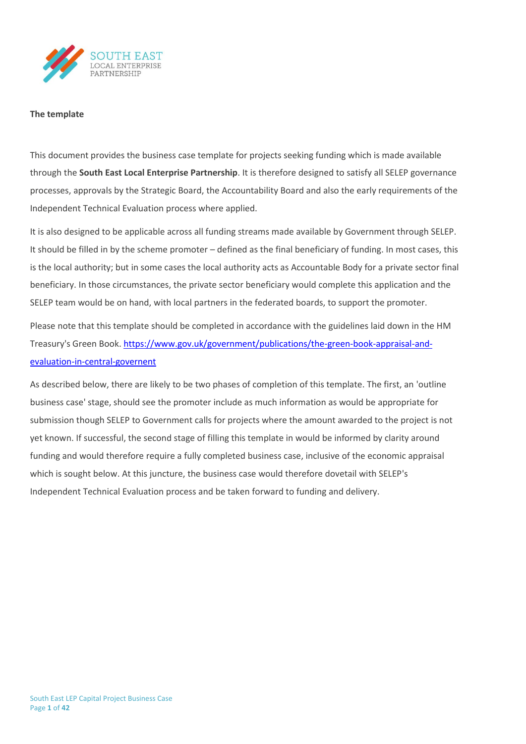

#### **The template**

This document provides the business case template for projects seeking funding which is made available through the **South East Local Enterprise Partnership**. It is therefore designed to satisfy all SELEP governance processes, approvals by the Strategic Board, the Accountability Board and also the early requirements of the Independent Technical Evaluation process where applied.

It is also designed to be applicable across all funding streams made available by Government through SELEP. It should be filled in by the scheme promoter – defined as the final beneficiary of funding. In most cases, this is the local authority; but in some cases the local authority acts as Accountable Body for a private sector final beneficiary. In those circumstances, the private sector beneficiary would complete this application and the SELEP team would be on hand, with local partners in the federated boards, to support the promoter.

Please note that this template should be completed in accordance with the guidelines laid down in the HM Treasury's Green Book. [https://www.gov.uk/government/publications/the-green-book-appraisal-and](https://www.gov.uk/government/publications/the-green-book-appraisal-and-evaluation-in-central-governent)[evaluation-in-central-governent](https://www.gov.uk/government/publications/the-green-book-appraisal-and-evaluation-in-central-governent)

As described below, there are likely to be two phases of completion of this template. The first, an 'outline business case' stage, should see the promoter include as much information as would be appropriate for submission though SELEP to Government calls for projects where the amount awarded to the project is not yet known. If successful, the second stage of filling this template in would be informed by clarity around funding and would therefore require a fully completed business case, inclusive of the economic appraisal which is sought below. At this juncture, the business case would therefore dovetail with SELEP's Independent Technical Evaluation process and be taken forward to funding and delivery.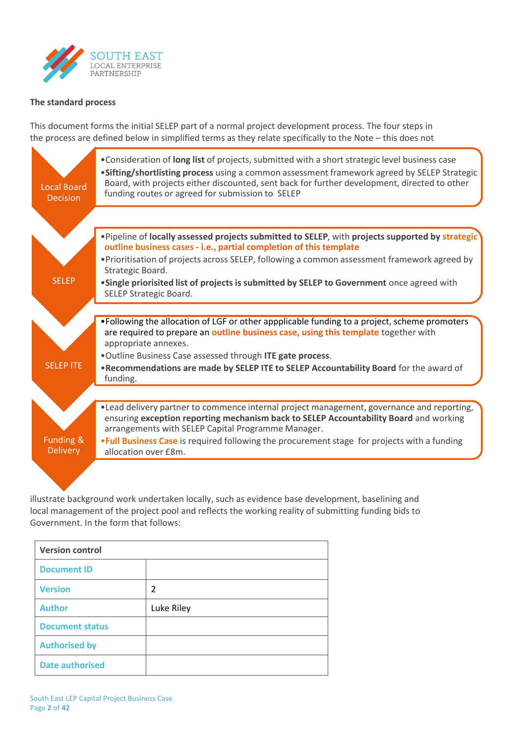

# **The standard process**

This document forms the initial SELEP part of a normal project development process. The four steps in the process are defined below in simplified terms as they relate specifically to the Note – this does not

| <b>Local Board</b><br><b>Decision</b> | . Consideration of long list of projects, submitted with a short strategic level business case<br>. Sifting/shortlisting process using a common assessment framework agreed by SELEP Strategic<br>Board, with projects either discounted, sent back for further development, directed to other<br>funding routes or agreed for submission to SELEP |
|---------------------------------------|----------------------------------------------------------------------------------------------------------------------------------------------------------------------------------------------------------------------------------------------------------------------------------------------------------------------------------------------------|
|                                       |                                                                                                                                                                                                                                                                                                                                                    |
|                                       | . Pipeline of locally assessed projects submitted to SELEP, with projects supported by strategic<br>outline business cases - i.e., partial completion of this template<br>. Prioritisation of projects across SELEP, following a common assessment framework agreed by<br>Strategic Board.                                                         |
| <b>SELEP</b>                          | .Single priorisited list of projects is submitted by SELEP to Government once agreed with<br>SELEP Strategic Board.                                                                                                                                                                                                                                |
|                                       |                                                                                                                                                                                                                                                                                                                                                    |
|                                       | . Following the allocation of LGF or other appplicable funding to a project, scheme promoters<br>are required to prepare an outline business case, using this template together with<br>appropriate annexes.                                                                                                                                       |
|                                       | . Outline Business Case assessed through ITE gate process.                                                                                                                                                                                                                                                                                         |
| <b>SELEP ITE</b>                      | . Recommendations are made by SELEP ITE to SELEP Accountability Board for the award of<br>funding.                                                                                                                                                                                                                                                 |
|                                       |                                                                                                                                                                                                                                                                                                                                                    |
|                                       | • Lead delivery partner to commence internal project management, governance and reporting,                                                                                                                                                                                                                                                         |
|                                       | ensuring exception reporting mechanism back to SELEP Accountability Board and working<br>arrangements with SELEP Capital Programme Manager.                                                                                                                                                                                                        |

illustrate background work undertaken locally, such as evidence base development, baselining and local management of the project pool and reflects the working reality of submitting funding bids to Government. In the form that follows:

| <b>Version control</b> |            |  |  |
|------------------------|------------|--|--|
| <b>Document ID</b>     |            |  |  |
| <b>Version</b>         | 2          |  |  |
| <b>Author</b>          | Luke Riley |  |  |
| <b>Document status</b> |            |  |  |
| <b>Authorised by</b>   |            |  |  |
| <b>Date authorised</b> |            |  |  |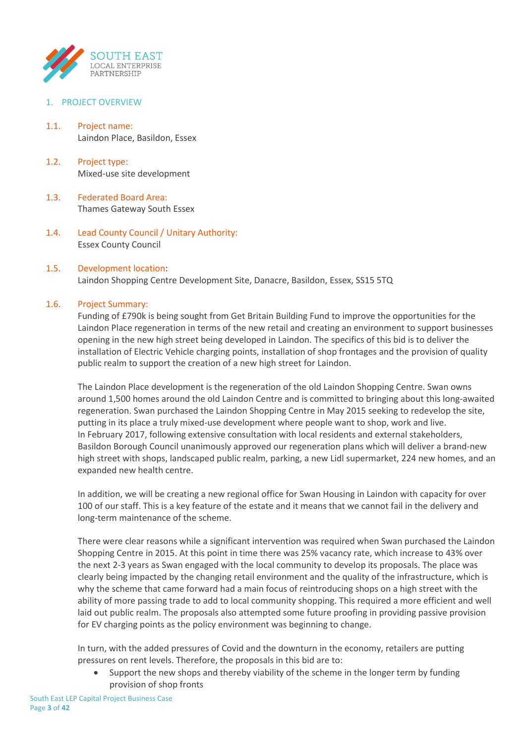

- 1. PROJECT OVERVIEW
- 1.1. Project name: Laindon Place, Basildon, Essex
- 1.2. Project type: Mixed-use site development
- 1.3. Federated Board Area: Thames Gateway South Essex
- 1.4. Lead County Council / Unitary Authority: Essex County Council
- 1.5. Development location: Laindon Shopping Centre Development Site, Danacre, Basildon, Essex, SS15 5TQ

#### 1.6. Project Summary:

Funding of £790k is being sought from Get Britain Building Fund to improve the opportunities for the Laindon Place regeneration in terms of the new retail and creating an environment to support businesses opening in the new high street being developed in Laindon. The specifics of this bid is to deliver the installation of Electric Vehicle charging points, installation of shop frontages and the provision of quality public realm to support the creation of a new high street for Laindon.

The Laindon Place development is the regeneration of the old Laindon Shopping Centre. Swan owns around 1,500 homes around the old Laindon Centre and is committed to bringing about this long-awaited regeneration. Swan purchased the Laindon Shopping Centre in May 2015 seeking to redevelop the site, putting in its place a truly mixed-use development where people want to shop, work and live. In February 2017, following extensive consultation with local residents and external stakeholders, Basildon Borough Council unanimously approved our regeneration plans which will deliver a brand-new high street with shops, landscaped public realm, parking, a new Lidl supermarket, 224 new homes, and an expanded new health centre.

In addition, we will be creating a new regional office for Swan Housing in Laindon with capacity for over 100 of our staff. This is a key feature of the estate and it means that we cannot fail in the delivery and long-term maintenance of the scheme.

There were clear reasons while a significant intervention was required when Swan purchased the Laindon Shopping Centre in 2015. At this point in time there was 25% vacancy rate, which increase to 43% over the next 2-3 years as Swan engaged with the local community to develop its proposals. The place was clearly being impacted by the changing retail environment and the quality of the infrastructure, which is why the scheme that came forward had a main focus of reintroducing shops on a high street with the ability of more passing trade to add to local community shopping. This required a more efficient and well laid out public realm. The proposals also attempted some future proofing in providing passive provision for EV charging points as the policy environment was beginning to change.

In turn, with the added pressures of Covid and the downturn in the economy, retailers are putting pressures on rent levels. Therefore, the proposals in this bid are to:

• Support the new shops and thereby viability of the scheme in the longer term by funding provision of shop fronts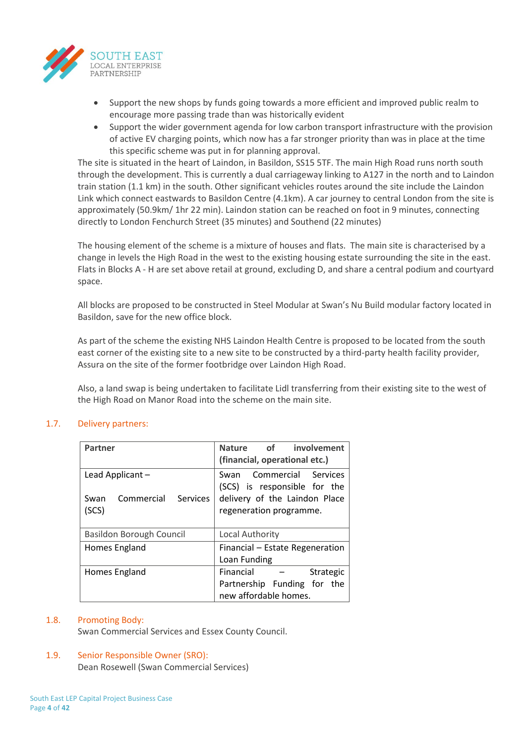

- Support the new shops by funds going towards a more efficient and improved public realm to encourage more passing trade than was historically evident
- Support the wider government agenda for low carbon transport infrastructure with the provision of active EV charging points, which now has a far stronger priority than was in place at the time this specific scheme was put in for planning approval.

The site is situated in the heart of Laindon, in Basildon, SS15 5TF. The main High Road runs north south through the development. This is currently a dual carriageway linking to A127 in the north and to Laindon train station (1.1 km) in the south. Other significant vehicles routes around the site include the Laindon Link which connect eastwards to Basildon Centre (4.1km). A car journey to central London from the site is approximately (50.9km/ 1hr 22 min). Laindon station can be reached on foot in 9 minutes, connecting directly to London Fenchurch Street (35 minutes) and Southend (22 minutes)

The housing element of the scheme is a mixture of houses and flats. The main site is characterised by a change in levels the High Road in the west to the existing housing estate surrounding the site in the east. Flats in Blocks A - H are set above retail at ground, excluding D, and share a central podium and courtyard space.

All blocks are proposed to be constructed in Steel Modular at Swan's Nu Build modular factory located in Basildon, save for the new office block.

As part of the scheme the existing NHS Laindon Health Centre is proposed to be located from the south east corner of the existing site to a new site to be constructed by a third-party health facility provider, Assura on the site of the former footbridge over Laindon High Road.

Also, a land swap is being undertaken to facilitate Lidl transferring from their existing site to the west of the High Road on Manor Road into the scheme on the main site.

#### 1.7. Delivery partners:

| Partner                                 | Nature of involvement<br>(financial, operational etc.)      |  |  |  |
|-----------------------------------------|-------------------------------------------------------------|--|--|--|
| Lead Applicant -                        | Commercial Services<br>Swan<br>(SCS) is responsible for the |  |  |  |
| Commercial<br>Services<br>Swan<br>(SCS) | delivery of the Laindon Place<br>regeneration programme.    |  |  |  |
| <b>Basildon Borough Council</b>         | Local Authority                                             |  |  |  |
| Homes England                           | Financial – Estate Regeneration                             |  |  |  |
|                                         | Loan Funding                                                |  |  |  |
| Homes England                           | $Final$ $-$<br>Strategic                                    |  |  |  |
|                                         | Partnership Funding for the                                 |  |  |  |
|                                         | new affordable homes.                                       |  |  |  |

#### 1.8. Promoting Body:

Swan Commercial Services and Essex County Council.

#### 1.9. Senior Responsible Owner (SRO):

Dean Rosewell (Swan Commercial Services)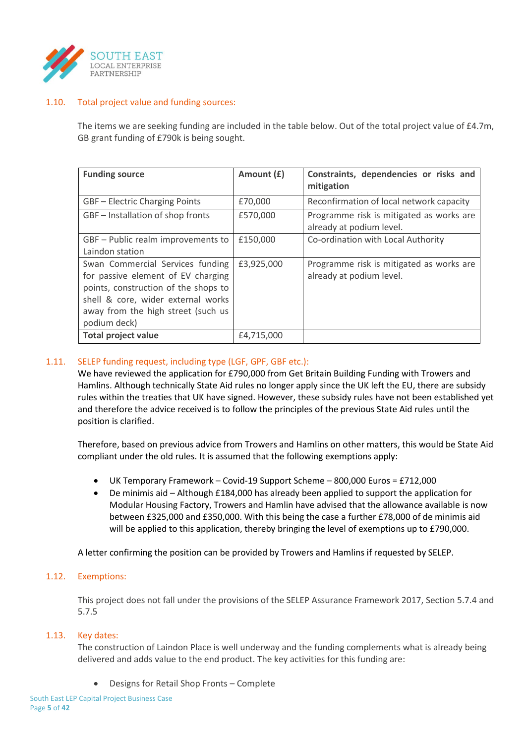

# 1.10. Total project value and funding sources:

The items we are seeking funding are included in the table below. Out of the total project value of £4.7m, GB grant funding of £790k is being sought.

| <b>Funding source</b>                                                                                                                                                                                      | Amount (£) | Constraints, dependencies or risks and<br>mitigation                 |
|------------------------------------------------------------------------------------------------------------------------------------------------------------------------------------------------------------|------------|----------------------------------------------------------------------|
| <b>GBF</b> - Electric Charging Points                                                                                                                                                                      | £70,000    | Reconfirmation of local network capacity                             |
| GBF - Installation of shop fronts                                                                                                                                                                          | £570,000   | Programme risk is mitigated as works are<br>already at podium level. |
| GBF - Public realm improvements to<br>Laindon station                                                                                                                                                      | £150,000   | Co-ordination with Local Authority                                   |
| Swan Commercial Services funding<br>for passive element of EV charging<br>points, construction of the shops to<br>shell & core, wider external works<br>away from the high street (such us<br>podium deck) | £3,925,000 | Programme risk is mitigated as works are<br>already at podium level. |
| <b>Total project value</b>                                                                                                                                                                                 | £4,715,000 |                                                                      |

# 1.11. SELEP funding request, including type (LGF, GPF, GBF etc.):

We have reviewed the application for £790,000 from Get Britain Building Funding with Trowers and Hamlins. Although technically State Aid rules no longer apply since the UK left the EU, there are subsidy rules within the treaties that UK have signed. However, these subsidy rules have not been established yet and therefore the advice received is to follow the principles of the previous State Aid rules until the position is clarified.

Therefore, based on previous advice from Trowers and Hamlins on other matters, this would be State Aid compliant under the old rules. It is assumed that the following exemptions apply:

- UK Temporary Framework Covid-19 Support Scheme 800,000 Euros = £712,000
- De minimis aid Although £184,000 has already been applied to support the application for Modular Housing Factory, Trowers and Hamlin have advised that the allowance available is now between £325,000 and £350,000. With this being the case a further £78,000 of de minimis aid will be applied to this application, thereby bringing the level of exemptions up to £790,000.

A letter confirming the position can be provided by Trowers and Hamlins if requested by SELEP.

#### 1.12. Exemptions:

This project does not fall under the provisions of the SELEP Assurance Framework 2017, Section 5.7.4 and 5.7.5

#### 1.13. Key dates:

The construction of Laindon Place is well underway and the funding complements what is already being delivered and adds value to the end product. The key activities for this funding are:

• Designs for Retail Shop Fronts – Complete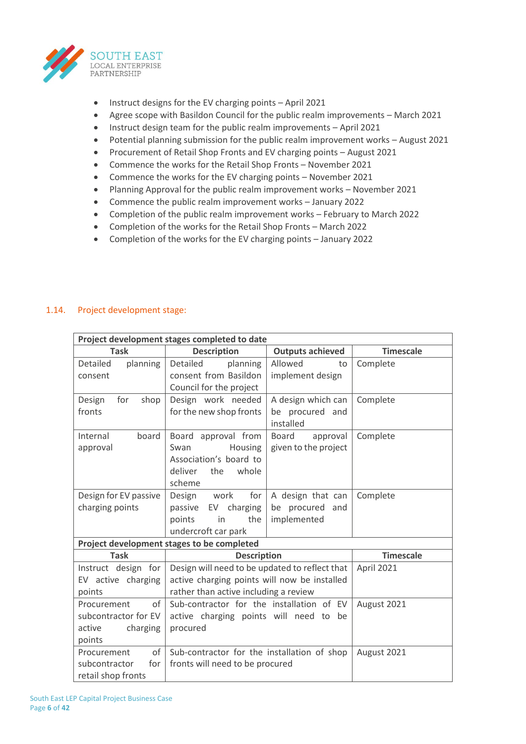

- Instruct designs for the EV charging points April 2021
- Agree scope with Basildon Council for the public realm improvements March 2021
- Instruct design team for the public realm improvements April 2021
- Potential planning submission for the public realm improvement works August 2021
- Procurement of Retail Shop Fronts and EV charging points August 2021
- Commence the works for the Retail Shop Fronts November 2021
- Commence the works for the EV charging points November 2021
- Planning Approval for the public realm improvement works November 2021
- Commence the public realm improvement works January 2022
- Completion of the public realm improvement works February to March 2022
- Completion of the works for the Retail Shop Fronts March 2022
- Completion of the works for the EV charging points January 2022

# 1.14. Project development stage:

| Project development stages completed to date |                                                |                         |                  |  |  |
|----------------------------------------------|------------------------------------------------|-------------------------|------------------|--|--|
| <b>Task</b>                                  | <b>Description</b>                             | <b>Outputs achieved</b> | <b>Timescale</b> |  |  |
| Detailed<br>planning                         | Detailed<br>planning                           | Allowed<br>to           | Complete         |  |  |
| consent                                      | consent from Basildon                          | implement design        |                  |  |  |
|                                              | Council for the project                        |                         |                  |  |  |
| for<br>shop<br>Design                        | Design work needed                             | A design which can      | Complete         |  |  |
| fronts                                       | for the new shop fronts                        | be procured and         |                  |  |  |
|                                              |                                                | installed               |                  |  |  |
| Internal<br>board                            | Board approval from                            | Board<br>approval       | Complete         |  |  |
| approval                                     | Housing<br>Swan                                | given to the project    |                  |  |  |
|                                              | Association's board to                         |                         |                  |  |  |
|                                              | deliver<br>the<br>whole                        |                         |                  |  |  |
|                                              | scheme                                         |                         |                  |  |  |
| Design for EV passive                        | work<br>for<br>Design                          | A design that can       | Complete         |  |  |
| charging points                              | EV charging<br>passive                         | be procured and         |                  |  |  |
|                                              | points<br>the<br>in                            | implemented             |                  |  |  |
|                                              | undercroft car park                            |                         |                  |  |  |
|                                              | Project development stages to be completed     |                         |                  |  |  |
| <b>Task</b>                                  | <b>Description</b>                             |                         | <b>Timescale</b> |  |  |
| Instruct design for                          | Design will need to be updated to reflect that |                         | April 2021       |  |  |
| EV active charging                           | active charging points will now be installed   |                         |                  |  |  |
| points                                       | rather than active including a review          |                         |                  |  |  |
| of<br>Procurement                            | Sub-contractor for the installation of EV      |                         | August 2021      |  |  |
| subcontractor for EV                         | active charging points will need to            | be                      |                  |  |  |
| active<br>charging                           | procured                                       |                         |                  |  |  |
| points                                       |                                                |                         |                  |  |  |
| of<br>Procurement                            | Sub-contractor for the installation of shop    |                         | August 2021      |  |  |
| subcontractor<br>for                         | fronts will need to be procured                |                         |                  |  |  |
| retail shop fronts                           |                                                |                         |                  |  |  |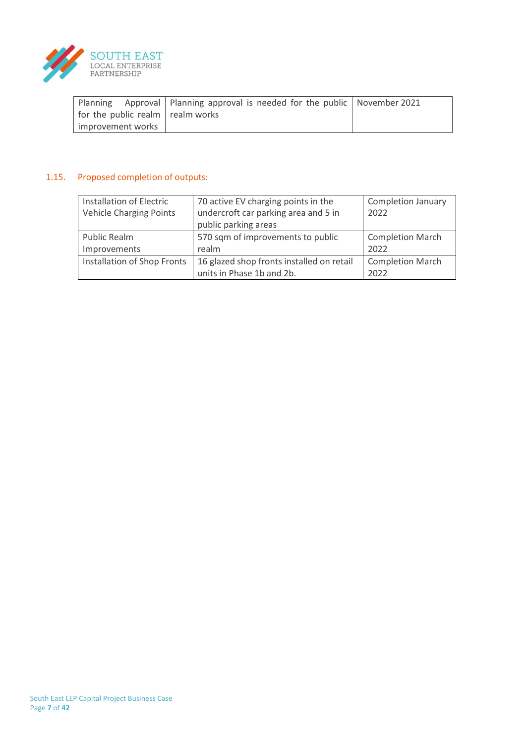

|                                  | Planning Approval   Planning approval is needed for the public   November 2021 |  |
|----------------------------------|--------------------------------------------------------------------------------|--|
| for the public realm realm works |                                                                                |  |
| improvement works                |                                                                                |  |

# 1.15. Proposed completion of outputs:

| Installation of Electric       | 70 active EV charging points in the       | <b>Completion January</b> |
|--------------------------------|-------------------------------------------|---------------------------|
| <b>Vehicle Charging Points</b> | undercroft car parking area and 5 in      | 2022                      |
|                                | public parking areas                      |                           |
| Public Realm                   | 570 sqm of improvements to public         | <b>Completion March</b>   |
| Improvements                   | realm                                     | 2022                      |
| Installation of Shop Fronts    | 16 glazed shop fronts installed on retail | <b>Completion March</b>   |
|                                | units in Phase 1b and 2b.                 | 2022                      |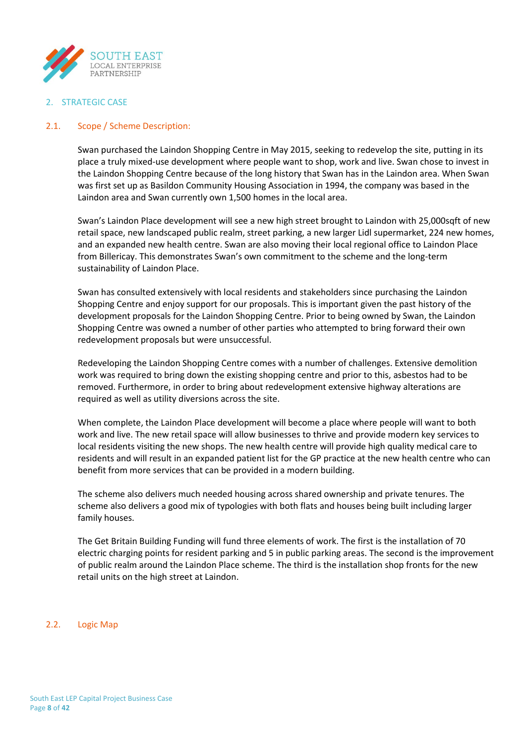

## 2. STRATEGIC CASE

#### 2.1. Scope / Scheme Description:

Swan purchased the Laindon Shopping Centre in May 2015, seeking to redevelop the site, putting in its place a truly mixed-use development where people want to shop, work and live. Swan chose to invest in the Laindon Shopping Centre because of the long history that Swan has in the Laindon area. When Swan was first set up as Basildon Community Housing Association in 1994, the company was based in the Laindon area and Swan currently own 1,500 homes in the local area.

Swan's Laindon Place development will see a new high street brought to Laindon with 25,000sqft of new retail space, new landscaped public realm, street parking, a new larger Lidl supermarket, 224 new homes, and an expanded new health centre. Swan are also moving their local regional office to Laindon Place from Billericay. This demonstrates Swan's own commitment to the scheme and the long-term sustainability of Laindon Place.

Swan has consulted extensively with local residents and stakeholders since purchasing the Laindon Shopping Centre and enjoy support for our proposals. This is important given the past history of the development proposals for the Laindon Shopping Centre. Prior to being owned by Swan, the Laindon Shopping Centre was owned a number of other parties who attempted to bring forward their own redevelopment proposals but were unsuccessful.

Redeveloping the Laindon Shopping Centre comes with a number of challenges. Extensive demolition work was required to bring down the existing shopping centre and prior to this, asbestos had to be removed. Furthermore, in order to bring about redevelopment extensive highway alterations are required as well as utility diversions across the site.

When complete, the Laindon Place development will become a place where people will want to both work and live. The new retail space will allow businesses to thrive and provide modern key services to local residents visiting the new shops. The new health centre will provide high quality medical care to residents and will result in an expanded patient list for the GP practice at the new health centre who can benefit from more services that can be provided in a modern building.

The scheme also delivers much needed housing across shared ownership and private tenures. The scheme also delivers a good mix of typologies with both flats and houses being built including larger family houses.

The Get Britain Building Funding will fund three elements of work. The first is the installation of 70 electric charging points for resident parking and 5 in public parking areas. The second is the improvement of public realm around the Laindon Place scheme. The third is the installation shop fronts for the new retail units on the high street at Laindon.

#### 2.2. Logic Map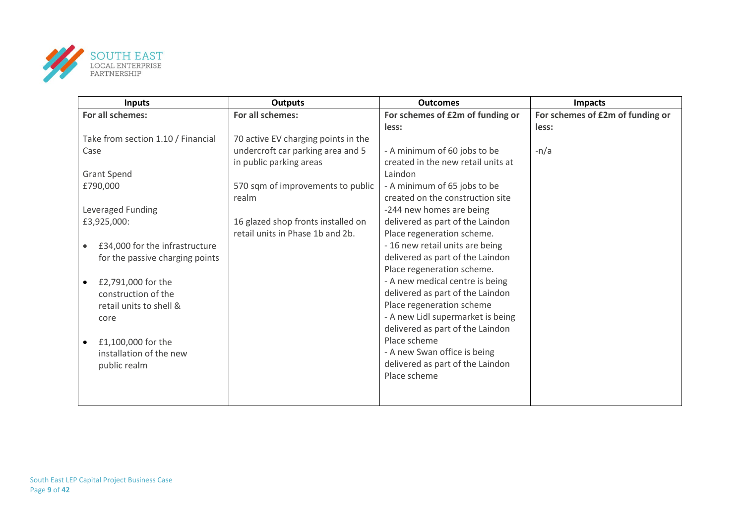

| <b>Inputs</b>                               | <b>Outputs</b>                      | <b>Outcomes</b>                    | <b>Impacts</b>                   |
|---------------------------------------------|-------------------------------------|------------------------------------|----------------------------------|
| For all schemes:                            | For all schemes:                    | For schemes of £2m of funding or   | For schemes of £2m of funding or |
|                                             |                                     | less:                              | less:                            |
| Take from section 1.10 / Financial          | 70 active EV charging points in the |                                    |                                  |
| Case                                        | undercroft car parking area and 5   | - A minimum of 60 jobs to be       | $-n/a$                           |
|                                             | in public parking areas             | created in the new retail units at |                                  |
| <b>Grant Spend</b>                          |                                     | Laindon                            |                                  |
| £790,000                                    | 570 sqm of improvements to public   | - A minimum of 65 jobs to be       |                                  |
|                                             | realm                               | created on the construction site   |                                  |
| Leveraged Funding                           |                                     | -244 new homes are being           |                                  |
| £3,925,000:                                 | 16 glazed shop fronts installed on  | delivered as part of the Laindon   |                                  |
|                                             | retail units in Phase 1b and 2b.    | Place regeneration scheme.         |                                  |
| £34,000 for the infrastructure<br>$\bullet$ |                                     | - 16 new retail units are being    |                                  |
| for the passive charging points             |                                     | delivered as part of the Laindon   |                                  |
|                                             |                                     | Place regeneration scheme.         |                                  |
| £2,791,000 for the                          |                                     | - A new medical centre is being    |                                  |
| construction of the                         |                                     | delivered as part of the Laindon   |                                  |
| retail units to shell &                     |                                     | Place regeneration scheme          |                                  |
| core                                        |                                     | - A new Lidl supermarket is being  |                                  |
|                                             |                                     | delivered as part of the Laindon   |                                  |
| £1,100,000 for the                          |                                     | Place scheme                       |                                  |
| installation of the new                     |                                     | - A new Swan office is being       |                                  |
| public realm                                |                                     | delivered as part of the Laindon   |                                  |
|                                             |                                     | Place scheme                       |                                  |
|                                             |                                     |                                    |                                  |
|                                             |                                     |                                    |                                  |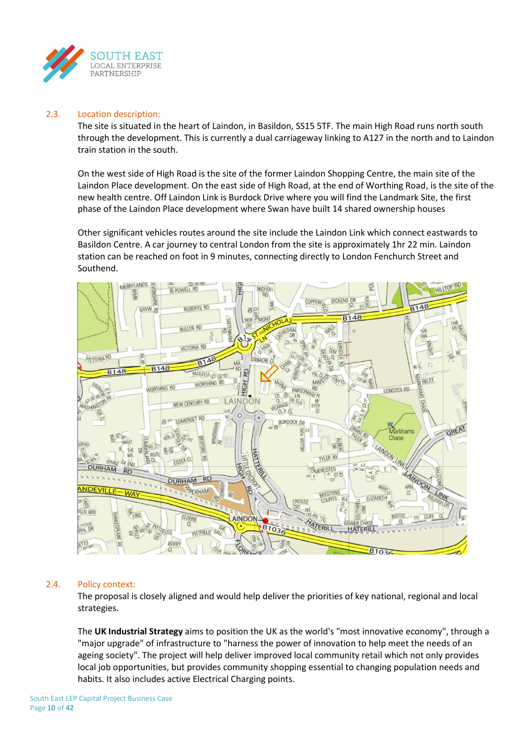

#### 2.3. Location description:

The site is situated in the heart of Laindon, in Basildon, SS15 5TF. The main High Road runs north south through the development. This is currently a dual carriageway linking to A127 in the north and to Laindon train station in the south.

On the west side of High Road is the site of the former Laindon Shopping Centre, the main site of the Laindon Place development. On the east side of High Road, at the end of Worthing Road, is the site of the new health centre. Off Laindon Link is Burdock Drive where you will find the Landmark Site, the first phase of the Laindon Place development where Swan have built 14 shared ownership houses

Other significant vehicles routes around the site include the Laindon Link which connect eastwards to Basildon Centre. A car journey to central London from the site is approximately 1hr 22 min. Laindon station can be reached on foot in 9 minutes, connecting directly to London Fenchurch Street and Southend.



#### 2.4. Policy context:

The proposal is closely aligned and would help deliver the priorities of key national, regional and local strategies.

The **UK Industrial Strategy** aims to position the UK as the world's "most innovative economy", through a "major upgrade" of infrastructure to "harness the power of innovation to help meet the needs of an ageing society". The project will help deliver improved local community retail which not only provides local job opportunities, but provides community shopping essential to changing population needs and habits. It also includes active Electrical Charging points.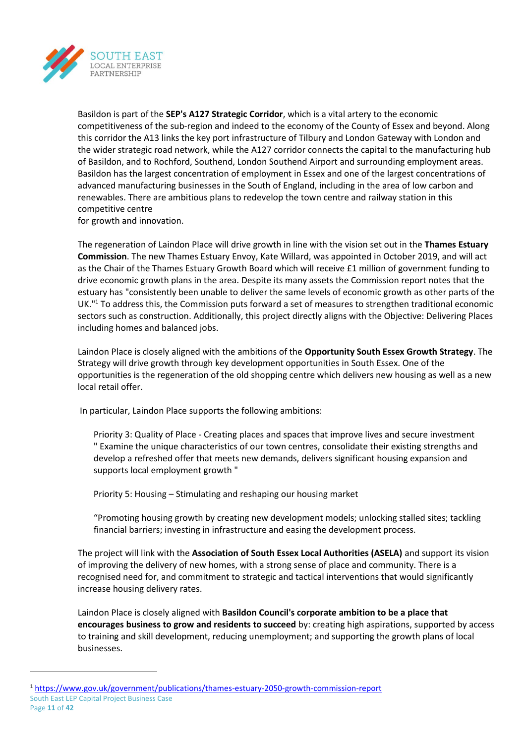

Basildon is part of the **SEP's A127 Strategic Corridor**, which is a vital artery to the economic competitiveness of the sub-region and indeed to the economy of the County of Essex and beyond. Along this corridor the A13 links the key port infrastructure of Tilbury and London Gateway with London and the wider strategic road network, while the A127 corridor connects the capital to the manufacturing hub of Basildon, and to Rochford, Southend, London Southend Airport and surrounding employment areas. Basildon has the largest concentration of employment in Essex and one of the largest concentrations of advanced manufacturing businesses in the South of England, including in the area of low carbon and renewables. There are ambitious plans to redevelop the town centre and railway station in this competitive centre

for growth and innovation.

The regeneration of Laindon Place will drive growth in line with the vision set out in the **Thames Estuary Commission**. The new Thames Estuary Envoy, Kate Willard, was appointed in October 2019, and will act as the Chair of the Thames Estuary Growth Board which will receive £1 million of government funding to drive economic growth plans in the area. Despite its many assets the Commission report notes that the estuary has "consistently been unable to deliver the same levels of economic growth as other parts of the UK."<sup>1</sup> To address this, the Commission puts forward a set of measures to strengthen traditional economic sectors such as construction. Additionally, this project directly aligns with the Objective: Delivering Places including homes and balanced jobs.

Laindon Place is closely aligned with the ambitions of the **Opportunity South Essex Growth Strategy**. The Strategy will drive growth through key development opportunities in South Essex. One of the opportunities is the regeneration of the old shopping centre which delivers new housing as well as a new local retail offer.

In particular, Laindon Place supports the following ambitions:

Priority 3: Quality of Place - Creating places and spaces that improve lives and secure investment " Examine the unique characteristics of our town centres, consolidate their existing strengths and develop a refreshed offer that meets new demands, delivers significant housing expansion and supports local employment growth "

Priority 5: Housing – Stimulating and reshaping our housing market

"Promoting housing growth by creating new development models; unlocking stalled sites; tackling financial barriers; investing in infrastructure and easing the development process.

The project will link with the **Association of South Essex Local Authorities (ASELA)** and support its vision of improving the delivery of new homes, with a strong sense of place and community. There is a recognised need for, and commitment to strategic and tactical interventions that would significantly increase housing delivery rates.

Laindon Place is closely aligned with **Basildon Council's corporate ambition to be a place that encourages business to grow and residents to succeed** by: creating high aspirations, supported by access to training and skill development, reducing unemployment; and supporting the growth plans of local businesses.

 $\overline{a}$ 

South East LEP Capital Project Business Case Page **11** of **42** <sup>1</sup> <https://www.gov.uk/government/publications/thames-estuary-2050-growth-commission-report>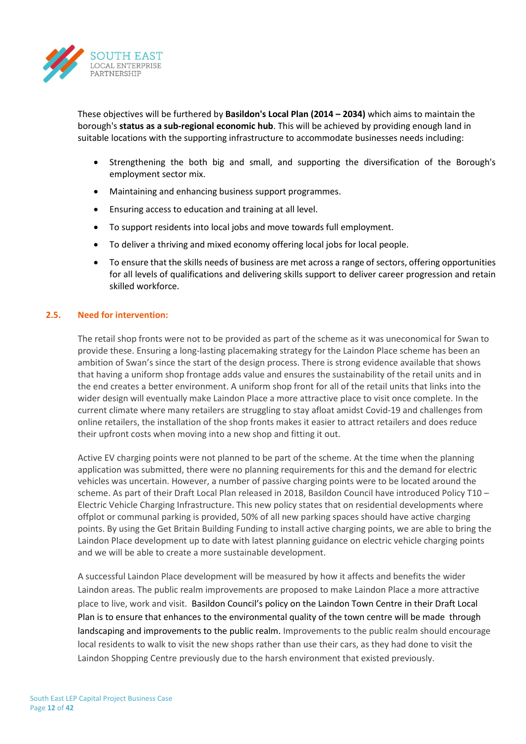

These objectives will be furthered by **Basildon's Local Plan (2014 – 2034)** which aims to maintain the borough's **status as a sub-regional economic hub**. This will be achieved by providing enough land in suitable locations with the supporting infrastructure to accommodate businesses needs including:

- Strengthening the both big and small, and supporting the diversification of the Borough's employment sector mix.
- Maintaining and enhancing business support programmes.
- Ensuring access to education and training at all level.
- To support residents into local jobs and move towards full employment.
- To deliver a thriving and mixed economy offering local jobs for local people.
- To ensure that the skills needs of business are met across a range of sectors, offering opportunities for all levels of qualifications and delivering skills support to deliver career progression and retain skilled workforce.

#### **2.5. Need for intervention:**

The retail shop fronts were not to be provided as part of the scheme as it was uneconomical for Swan to provide these. Ensuring a long-lasting placemaking strategy for the Laindon Place scheme has been an ambition of Swan's since the start of the design process. There is strong evidence available that shows that having a uniform shop frontage adds value and ensures the sustainability of the retail units and in the end creates a better environment. A uniform shop front for all of the retail units that links into the wider design will eventually make Laindon Place a more attractive place to visit once complete. In the current climate where many retailers are struggling to stay afloat amidst Covid-19 and challenges from online retailers, the installation of the shop fronts makes it easier to attract retailers and does reduce their upfront costs when moving into a new shop and fitting it out.

Active EV charging points were not planned to be part of the scheme. At the time when the planning application was submitted, there were no planning requirements for this and the demand for electric vehicles was uncertain. However, a number of passive charging points were to be located around the scheme. As part of their Draft Local Plan released in 2018, Basildon Council have introduced Policy T10 – Electric Vehicle Charging Infrastructure. This new policy states that on residential developments where offplot or communal parking is provided, 50% of all new parking spaces should have active charging points. By using the Get Britain Building Funding to install active charging points, we are able to bring the Laindon Place development up to date with latest planning guidance on electric vehicle charging points and we will be able to create a more sustainable development.

A successful Laindon Place development will be measured by how it affects and benefits the wider Laindon areas. The public realm improvements are proposed to make Laindon Place a more attractive place to live, work and visit. Basildon Council's policy on the Laindon Town Centre in their Draft Local Plan is to ensure that enhances to the environmental quality of the town centre will be made through landscaping and improvements to the public realm. Improvements to the public realm should encourage local residents to walk to visit the new shops rather than use their cars, as they had done to visit the Laindon Shopping Centre previously due to the harsh environment that existed previously.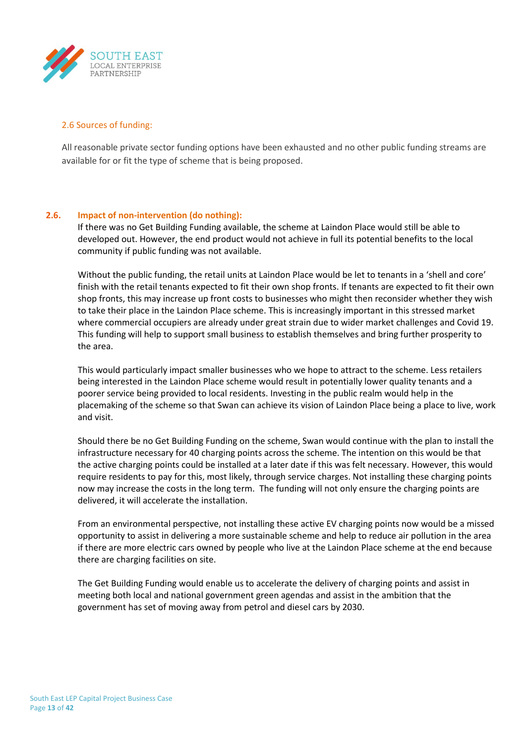

# 2.6 Sources of funding:

All reasonable private sector funding options have been exhausted and no other public funding streams are available for or fit the type of scheme that is being proposed.

#### **2.6. Impact of non-intervention (do nothing):**

If there was no Get Building Funding available, the scheme at Laindon Place would still be able to developed out. However, the end product would not achieve in full its potential benefits to the local community if public funding was not available.

Without the public funding, the retail units at Laindon Place would be let to tenants in a 'shell and core' finish with the retail tenants expected to fit their own shop fronts. If tenants are expected to fit their own shop fronts, this may increase up front costs to businesses who might then reconsider whether they wish to take their place in the Laindon Place scheme. This is increasingly important in this stressed market where commercial occupiers are already under great strain due to wider market challenges and Covid 19. This funding will help to support small business to establish themselves and bring further prosperity to the area.

This would particularly impact smaller businesses who we hope to attract to the scheme. Less retailers being interested in the Laindon Place scheme would result in potentially lower quality tenants and a poorer service being provided to local residents. Investing in the public realm would help in the placemaking of the scheme so that Swan can achieve its vision of Laindon Place being a place to live, work and visit.

Should there be no Get Building Funding on the scheme, Swan would continue with the plan to install the infrastructure necessary for 40 charging points across the scheme. The intention on this would be that the active charging points could be installed at a later date if this was felt necessary. However, this would require residents to pay for this, most likely, through service charges. Not installing these charging points now may increase the costs in the long term. The funding will not only ensure the charging points are delivered, it will accelerate the installation.

From an environmental perspective, not installing these active EV charging points now would be a missed opportunity to assist in delivering a more sustainable scheme and help to reduce air pollution in the area if there are more electric cars owned by people who live at the Laindon Place scheme at the end because there are charging facilities on site.

The Get Building Funding would enable us to accelerate the delivery of charging points and assist in meeting both local and national government green agendas and assist in the ambition that the government has set of moving away from petrol and diesel cars by 2030.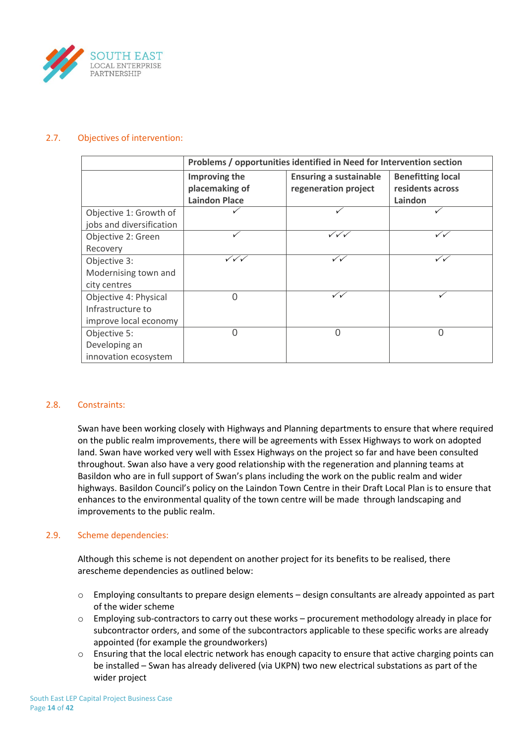

## 2.7. Objectives of intervention:

|                                                    | Problems / opportunities identified in Need for Intervention section |                                                       |                                                         |  |  |
|----------------------------------------------------|----------------------------------------------------------------------|-------------------------------------------------------|---------------------------------------------------------|--|--|
|                                                    | Improving the<br>placemaking of<br><b>Laindon Place</b>              | <b>Ensuring a sustainable</b><br>regeneration project | <b>Benefitting local</b><br>residents across<br>Laindon |  |  |
| Objective 1: Growth of<br>jobs and diversification |                                                                      |                                                       |                                                         |  |  |
| Objective 2: Green                                 |                                                                      | $\checkmark\checkmark$                                | $\checkmark$                                            |  |  |
| Recovery                                           |                                                                      |                                                       |                                                         |  |  |
| Objective 3:                                       | $\checkmark\checkmark\checkmark$                                     | $\checkmark$                                          | $\checkmark$                                            |  |  |
| Modernising town and                               |                                                                      |                                                       |                                                         |  |  |
| city centres                                       |                                                                      |                                                       |                                                         |  |  |
| Objective 4: Physical                              | $\cap$                                                               | $\checkmark$                                          |                                                         |  |  |
| Infrastructure to                                  |                                                                      |                                                       |                                                         |  |  |
| improve local economy                              |                                                                      |                                                       |                                                         |  |  |
| Objective 5:                                       | $\Omega$                                                             | 0                                                     | ∩                                                       |  |  |
| Developing an                                      |                                                                      |                                                       |                                                         |  |  |
| innovation ecosystem                               |                                                                      |                                                       |                                                         |  |  |

#### 2.8. Constraints:

Swan have been working closely with Highways and Planning departments to ensure that where required on the public realm improvements, there will be agreements with Essex Highways to work on adopted land. Swan have worked very well with Essex Highways on the project so far and have been consulted throughout. Swan also have a very good relationship with the regeneration and planning teams at Basildon who are in full support of Swan's plans including the work on the public realm and wider highways. Basildon Council's policy on the Laindon Town Centre in their Draft Local Plan is to ensure that enhances to the environmental quality of the town centre will be made through landscaping and improvements to the public realm.

#### 2.9. Scheme dependencies:

Although this scheme is not dependent on another project for its benefits to be realised, there arescheme dependencies as outlined below:

- $\circ$  Employing consultants to prepare design elements design consultants are already appointed as part of the wider scheme
- $\circ$  Employing sub-contractors to carry out these works procurement methodology already in place for subcontractor orders, and some of the subcontractors applicable to these specific works are already appointed (for example the groundworkers)
- $\circ$  Ensuring that the local electric network has enough capacity to ensure that active charging points can be installed – Swan has already delivered (via UKPN) two new electrical substations as part of the wider project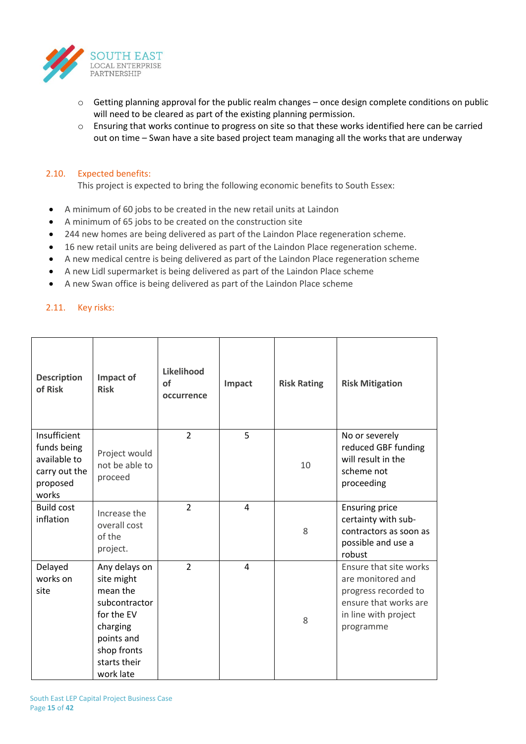

- o Getting planning approval for the public realm changes once design complete conditions on public will need to be cleared as part of the existing planning permission.
- o Ensuring that works continue to progress on site so that these works identified here can be carried out on time – Swan have a site based project team managing all the works that are underway

## 2.10. Expected benefits:

This project is expected to bring the following economic benefits to South Essex:

- A minimum of 60 jobs to be created in the new retail units at Laindon
- A minimum of 65 jobs to be created on the construction site
- 244 new homes are being delivered as part of the Laindon Place regeneration scheme.
- 16 new retail units are being delivered as part of the Laindon Place regeneration scheme.
- A new medical centre is being delivered as part of the Laindon Place regeneration scheme
- A new Lidl supermarket is being delivered as part of the Laindon Place scheme
- A new Swan office is being delivered as part of the Laindon Place scheme

# 2.11. Key risks:

| <b>Description</b><br>of Risk                                                     | Impact of<br><b>Risk</b>                                                                                                                     | Likelihood<br>of<br>occurrence | Impact | <b>Risk Rating</b> | <b>Risk Mitigation</b>                                                                                                            |
|-----------------------------------------------------------------------------------|----------------------------------------------------------------------------------------------------------------------------------------------|--------------------------------|--------|--------------------|-----------------------------------------------------------------------------------------------------------------------------------|
| Insufficient<br>funds being<br>available to<br>carry out the<br>proposed<br>works | Project would<br>not be able to<br>proceed                                                                                                   | $\overline{2}$                 | 5      | 10                 | No or severely<br>reduced GBF funding<br>will result in the<br>scheme not<br>proceeding                                           |
| <b>Build cost</b><br>inflation                                                    | Increase the<br>overall cost<br>of the<br>project.                                                                                           | $\overline{2}$                 | 4      | 8                  | <b>Ensuring price</b><br>certainty with sub-<br>contractors as soon as<br>possible and use a<br>robust                            |
| Delayed<br>works on<br>site                                                       | Any delays on<br>site might<br>mean the<br>subcontractor<br>for the EV<br>charging<br>points and<br>shop fronts<br>starts their<br>work late | $\overline{2}$                 | 4      | 8                  | Ensure that site works<br>are monitored and<br>progress recorded to<br>ensure that works are<br>in line with project<br>programme |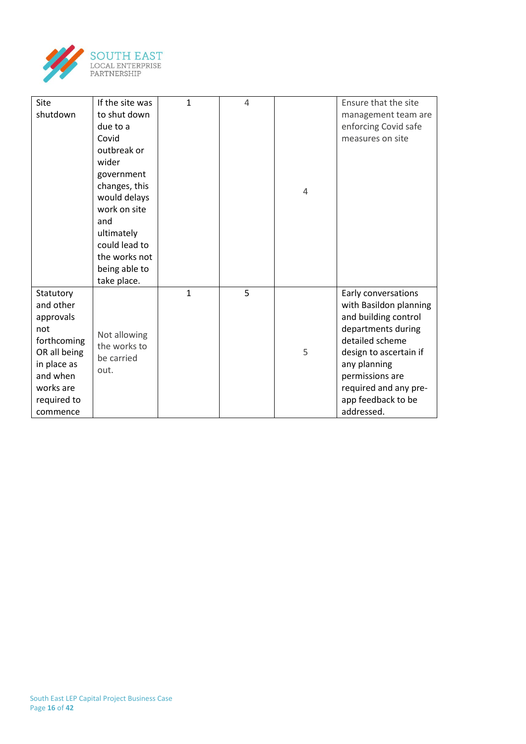

| Site         | If the site was | $\mathbf{1}$ | 4 |   | Ensure that the site   |
|--------------|-----------------|--------------|---|---|------------------------|
| shutdown     | to shut down    |              |   |   | management team are    |
|              | due to a        |              |   |   | enforcing Covid safe   |
|              | Covid           |              |   |   | measures on site       |
|              | outbreak or     |              |   |   |                        |
|              | wider           |              |   |   |                        |
|              | government      |              |   |   |                        |
|              | changes, this   |              |   |   |                        |
|              | would delays    |              |   | 4 |                        |
|              | work on site    |              |   |   |                        |
|              | and             |              |   |   |                        |
|              | ultimately      |              |   |   |                        |
|              | could lead to   |              |   |   |                        |
|              | the works not   |              |   |   |                        |
|              | being able to   |              |   |   |                        |
|              | take place.     |              |   |   |                        |
| Statutory    |                 | $\mathbf{1}$ | 5 |   | Early conversations    |
| and other    |                 |              |   |   | with Basildon planning |
| approvals    |                 |              |   |   | and building control   |
| not          | Not allowing    |              |   |   | departments during     |
| forthcoming  | the works to    |              |   |   | detailed scheme        |
| OR all being | be carried      |              |   | 5 | design to ascertain if |
| in place as  | out.            |              |   |   | any planning           |
| and when     |                 |              |   |   | permissions are        |
| works are    |                 |              |   |   | required and any pre-  |
| required to  |                 |              |   |   | app feedback to be     |
| commence     |                 |              |   |   | addressed.             |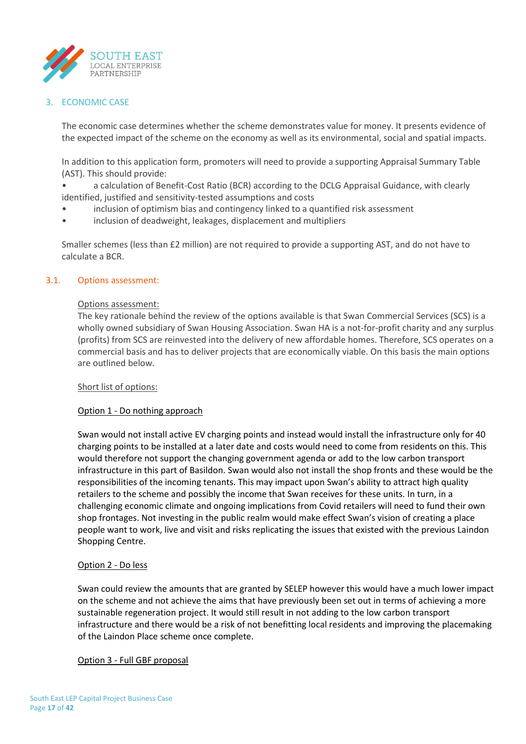

# 3. ECONOMIC CASE

The economic case determines whether the scheme demonstrates value for money. It presents evidence of the expected impact of the scheme on the economy as well as its environmental, social and spatial impacts.

In addition to this application form, promoters will need to provide a supporting Appraisal Summary Table (AST). This should provide:

• a calculation of Benefit-Cost Ratio (BCR) according to the DCLG Appraisal Guidance, with clearly identified, justified and sensitivity-tested assumptions and costs

- inclusion of optimism bias and contingency linked to a quantified risk assessment
- inclusion of deadweight, leakages, displacement and multipliers

Smaller schemes (less than £2 million) are not required to provide a supporting AST, and do not have to calculate a BCR.

#### 3.1. Options assessment:

#### Options assessment:

The key rationale behind the review of the options available is that Swan Commercial Services (SCS) is a wholly owned subsidiary of Swan Housing Association. Swan HA is a not-for-profit charity and any surplus (profits) from SCS are reinvested into the delivery of new affordable homes. Therefore, SCS operates on a commercial basis and has to deliver projects that are economically viable. On this basis the main options are outlined below.

#### Short list of options:

#### Option 1 - Do nothing approach

Swan would not install active EV charging points and instead would install the infrastructure only for 40 charging points to be installed at a later date and costs would need to come from residents on this. This would therefore not support the changing government agenda or add to the low carbon transport infrastructure in this part of Basildon. Swan would also not install the shop fronts and these would be the responsibilities of the incoming tenants. This may impact upon Swan's ability to attract high quality retailers to the scheme and possibly the income that Swan receives for these units. In turn, in a challenging economic climate and ongoing implications from Covid retailers will need to fund their own shop frontages. Not investing in the public realm would make effect Swan's vision of creating a place people want to work, live and visit and risks replicating the issues that existed with the previous Laindon Shopping Centre.

#### Option 2 - Do less

Swan could review the amounts that are granted by SELEP however this would have a much lower impact on the scheme and not achieve the aims that have previously been set out in terms of achieving a more sustainable regeneration project. It would still result in not adding to the low carbon transport infrastructure and there would be a risk of not benefitting local residents and improving the placemaking of the Laindon Place scheme once complete.

#### Option 3 - Full GBF proposal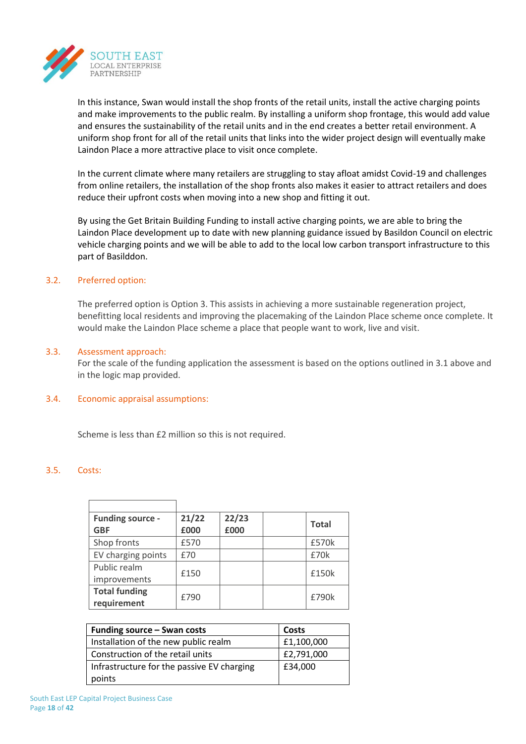

In this instance, Swan would install the shop fronts of the retail units, install the active charging points and make improvements to the public realm. By installing a uniform shop frontage, this would add value and ensures the sustainability of the retail units and in the end creates a better retail environment. A uniform shop front for all of the retail units that links into the wider project design will eventually make Laindon Place a more attractive place to visit once complete.

In the current climate where many retailers are struggling to stay afloat amidst Covid-19 and challenges from online retailers, the installation of the shop fronts also makes it easier to attract retailers and does reduce their upfront costs when moving into a new shop and fitting it out.

By using the Get Britain Building Funding to install active charging points, we are able to bring the Laindon Place development up to date with new planning guidance issued by Basildon Council on electric vehicle charging points and we will be able to add to the local low carbon transport infrastructure to this part of Basilddon.

#### 3.2. Preferred option:

The preferred option is Option 3. This assists in achieving a more sustainable regeneration project, benefitting local residents and improving the placemaking of the Laindon Place scheme once complete. It would make the Laindon Place scheme a place that people want to work, live and visit.

#### 3.3. Assessment approach:

For the scale of the funding application the assessment is based on the options outlined in 3.1 above and in the logic map provided.

#### 3.4. Economic appraisal assumptions:

Scheme is less than £2 million so this is not required.

## 3.5. Costs:

| <b>Funding source -</b> | 21/22        | 22/23 | <b>Total</b> |
|-------------------------|--------------|-------|--------------|
| <b>GBF</b>              | £000<br>£000 |       |              |
| Shop fronts             | £570         |       | £570k        |
| EV charging points      | £70          |       | £70k         |
| Public realm            | £150         |       | £150k        |
| improvements            |              |       |              |
| <b>Total funding</b>    | £790         |       | £790k        |
| requirement             |              |       |              |

| Funding source - Swan costs                | Costs      |
|--------------------------------------------|------------|
| Installation of the new public realm       | £1,100,000 |
| Construction of the retail units           | £2,791,000 |
| Infrastructure for the passive EV charging | £34,000    |
| points                                     |            |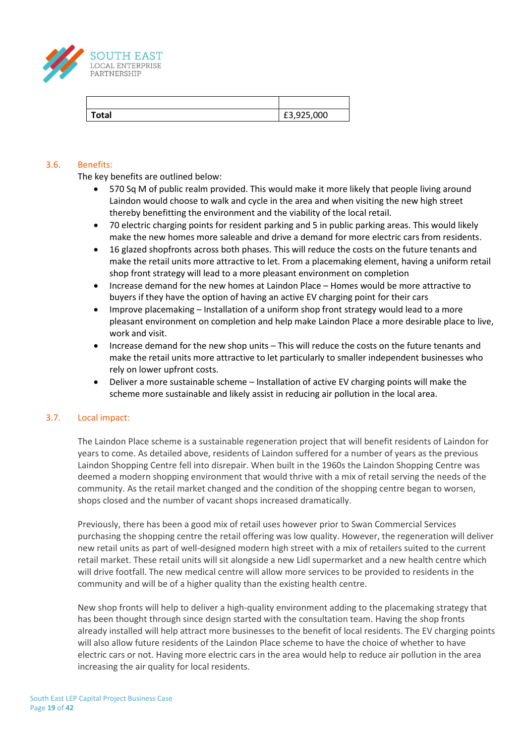

| <b>Total</b> | £3,925,000 |
|--------------|------------|

#### 3.6. Benefits:

The key benefits are outlined below:

- 570 Sq M of public realm provided. This would make it more likely that people living around Laindon would choose to walk and cycle in the area and when visiting the new high street thereby benefitting the environment and the viability of the local retail.
- 70 electric charging points for resident parking and 5 in public parking areas. This would likely make the new homes more saleable and drive a demand for more electric cars from residents.
- 16 glazed shopfronts across both phases. This will reduce the costs on the future tenants and make the retail units more attractive to let. From a placemaking element, having a uniform retail shop front strategy will lead to a more pleasant environment on completion
- Increase demand for the new homes at Laindon Place Homes would be more attractive to buyers if they have the option of having an active EV charging point for their cars
- Improve placemaking Installation of a uniform shop front strategy would lead to a more pleasant environment on completion and help make Laindon Place a more desirable place to live, work and visit.
- Increase demand for the new shop units This will reduce the costs on the future tenants and make the retail units more attractive to let particularly to smaller independent businesses who rely on lower upfront costs.
- Deliver a more sustainable scheme Installation of active EV charging points will make the scheme more sustainable and likely assist in reducing air pollution in the local area.

#### 3.7. Local impact:

The Laindon Place scheme is a sustainable regeneration project that will benefit residents of Laindon for years to come. As detailed above, residents of Laindon suffered for a number of years as the previous Laindon Shopping Centre fell into disrepair. When built in the 1960s the Laindon Shopping Centre was deemed a modern shopping environment that would thrive with a mix of retail serving the needs of the community. As the retail market changed and the condition of the shopping centre began to worsen, shops closed and the number of vacant shops increased dramatically.

Previously, there has been a good mix of retail uses however prior to Swan Commercial Services purchasing the shopping centre the retail offering was low quality. However, the regeneration will deliver new retail units as part of well-designed modern high street with a mix of retailers suited to the current retail market. These retail units will sit alongside a new Lidl supermarket and a new health centre which will drive footfall. The new medical centre will allow more services to be provided to residents in the community and will be of a higher quality than the existing health centre.

New shop fronts will help to deliver a high-quality environment adding to the placemaking strategy that has been thought through since design started with the consultation team. Having the shop fronts already installed will help attract more businesses to the benefit of local residents. The EV charging points will also allow future residents of the Laindon Place scheme to have the choice of whether to have electric cars or not. Having more electric cars in the area would help to reduce air pollution in the area increasing the air quality for local residents.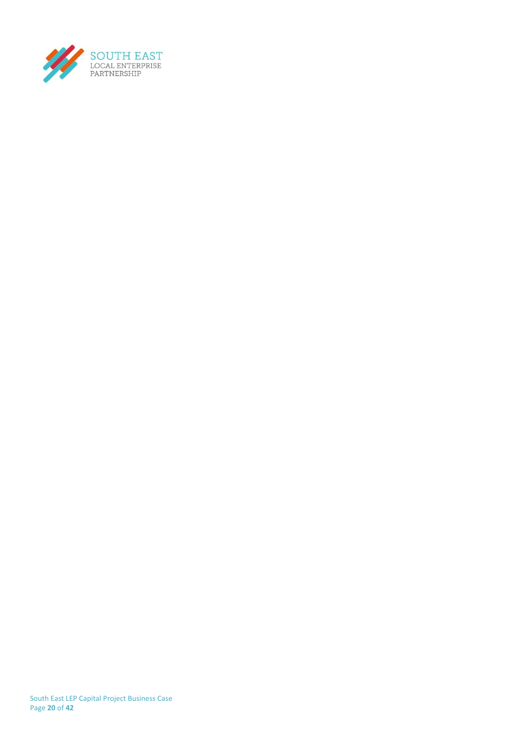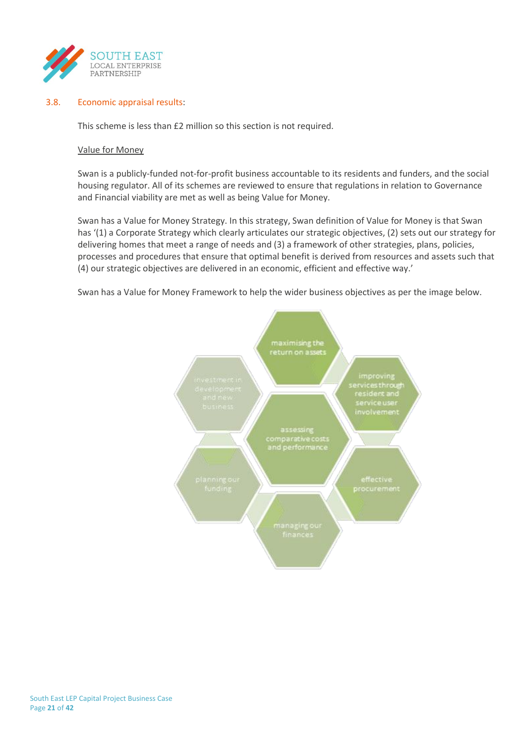

#### 3.8. Economic appraisal results:

This scheme is less than £2 million so this section is not required.

#### Value for Money

Swan is a publicly-funded not-for-profit business accountable to its residents and funders, and the social housing regulator. All of its schemes are reviewed to ensure that regulations in relation to Governance and Financial viability are met as well as being Value for Money.

Swan has a Value for Money Strategy. In this strategy, Swan definition of Value for Money is that Swan has '(1) a Corporate Strategy which clearly articulates our strategic objectives, (2) sets out our strategy for delivering homes that meet a range of needs and (3) a framework of other strategies, plans, policies, processes and procedures that ensure that optimal benefit is derived from resources and assets such that (4) our strategic objectives are delivered in an economic, efficient and effective way.'

Swan has a Value for Money Framework to help the wider business objectives as per the image below.

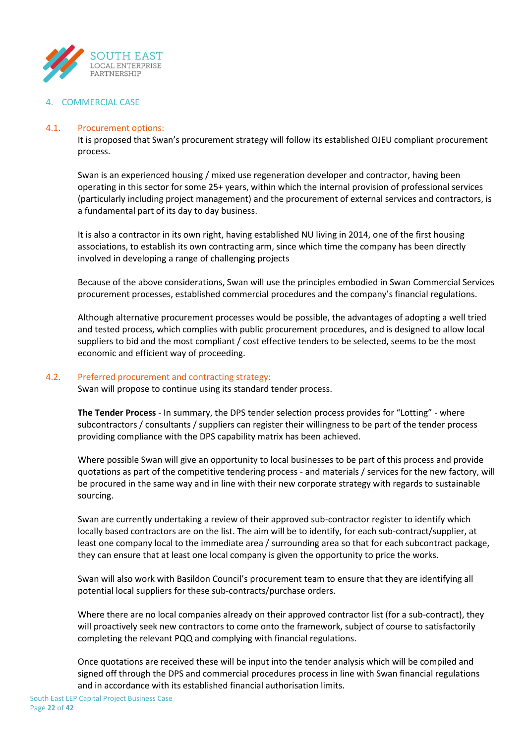

#### 4. COMMERCIAL CASE

#### 4.1. Procurement options:

It is proposed that Swan's procurement strategy will follow its established OJEU compliant procurement process.

Swan is an experienced housing / mixed use regeneration developer and contractor, having been operating in this sector for some 25+ years, within which the internal provision of professional services (particularly including project management) and the procurement of external services and contractors, is a fundamental part of its day to day business.

It is also a contractor in its own right, having established NU living in 2014, one of the first housing associations, to establish its own contracting arm, since which time the company has been directly involved in developing a range of challenging projects

Because of the above considerations, Swan will use the principles embodied in Swan Commercial Services procurement processes, established commercial procedures and the company's financial regulations.

Although alternative procurement processes would be possible, the advantages of adopting a well tried and tested process, which complies with public procurement procedures, and is designed to allow local suppliers to bid and the most compliant / cost effective tenders to be selected, seems to be the most economic and efficient way of proceeding.

#### 4.2. Preferred procurement and contracting strategy:

Swan will propose to continue using its standard tender process.

**The Tender Process** - In summary, the DPS tender selection process provides for "Lotting" - where subcontractors / consultants / suppliers can register their willingness to be part of the tender process providing compliance with the DPS capability matrix has been achieved.

Where possible Swan will give an opportunity to local businesses to be part of this process and provide quotations as part of the competitive tendering process - and materials / services for the new factory, will be procured in the same way and in line with their new corporate strategy with regards to sustainable sourcing.

Swan are currently undertaking a review of their approved sub-contractor register to identify which locally based contractors are on the list. The aim will be to identify, for each sub-contract/supplier, at least one company local to the immediate area / surrounding area so that for each subcontract package, they can ensure that at least one local company is given the opportunity to price the works.

Swan will also work with Basildon Council's procurement team to ensure that they are identifying all potential local suppliers for these sub-contracts/purchase orders.

Where there are no local companies already on their approved contractor list (for a sub-contract), they will proactively seek new contractors to come onto the framework, subject of course to satisfactorily completing the relevant PQQ and complying with financial regulations.

Once quotations are received these will be input into the tender analysis which will be compiled and signed off through the DPS and commercial procedures process in line with Swan financial regulations and in accordance with its established financial authorisation limits.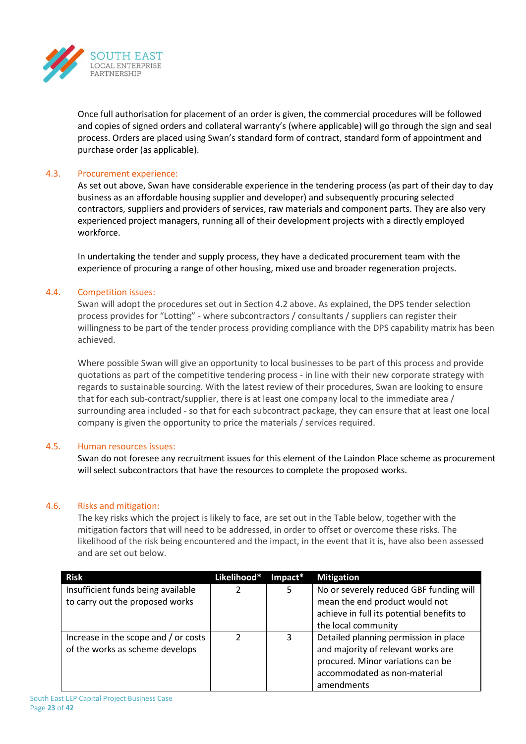

Once full authorisation for placement of an order is given, the commercial procedures will be followed and copies of signed orders and collateral warranty's (where applicable) will go through the sign and seal process. Orders are placed using Swan's standard form of contract, standard form of appointment and purchase order (as applicable).

## 4.3. Procurement experience:

As set out above, Swan have considerable experience in the tendering process (as part of their day to day business as an affordable housing supplier and developer) and subsequently procuring selected contractors, suppliers and providers of services, raw materials and component parts. They are also very experienced project managers, running all of their development projects with a directly employed workforce.

In undertaking the tender and supply process, they have a dedicated procurement team with the experience of procuring a range of other housing, mixed use and broader regeneration projects.

# 4.4. Competition issues:

Swan will adopt the procedures set out in Section 4.2 above. As explained, the DPS tender selection process provides for "Lotting" - where subcontractors / consultants / suppliers can register their willingness to be part of the tender process providing compliance with the DPS capability matrix has been achieved.

Where possible Swan will give an opportunity to local businesses to be part of this process and provide quotations as part of the competitive tendering process - in line with their new corporate strategy with regards to sustainable sourcing. With the latest review of their procedures, Swan are looking to ensure that for each sub-contract/supplier, there is at least one company local to the immediate area / surrounding area included - so that for each subcontract package, they can ensure that at least one local company is given the opportunity to price the materials / services required.

#### 4.5. Human resources issues:

Swan do not foresee any recruitment issues for this element of the Laindon Place scheme as procurement will select subcontractors that have the resources to complete the proposed works.

#### 4.6. Risks and mitigation:

The key risks which the project is likely to face, are set out in the Table below, together with the mitigation factors that will need to be addressed, in order to offset or overcome these risks. The likelihood of the risk being encountered and the impact, in the event that it is, have also been assessed and are set out below.

| <b>Risk</b>                                                             | Likelihood* | Impact* | <b>Mitigation</b>                                                                                                                                              |
|-------------------------------------------------------------------------|-------------|---------|----------------------------------------------------------------------------------------------------------------------------------------------------------------|
| Insufficient funds being available<br>to carry out the proposed works   | 2           | 5       | No or severely reduced GBF funding will<br>mean the end product would not<br>achieve in full its potential benefits to<br>the local community                  |
| Increase in the scope and / or costs<br>of the works as scheme develops | າ           | 3       | Detailed planning permission in place<br>and majority of relevant works are<br>procured. Minor variations can be<br>accommodated as non-material<br>amendments |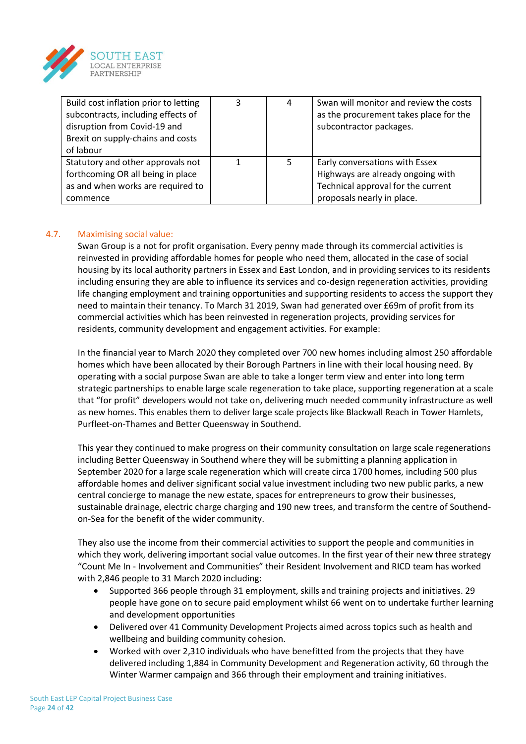

| Build cost inflation prior to letting<br>subcontracts, including effects of<br>disruption from Covid-19 and<br>Brexit on supply-chains and costs<br>of labour | 3 | 4 | Swan will monitor and review the costs<br>as the procurement takes place for the<br>subcontractor packages. |
|---------------------------------------------------------------------------------------------------------------------------------------------------------------|---|---|-------------------------------------------------------------------------------------------------------------|
| Statutory and other approvals not                                                                                                                             |   | 5 | Early conversations with Essex                                                                              |
| forthcoming OR all being in place                                                                                                                             |   |   | Highways are already ongoing with                                                                           |
| as and when works are required to                                                                                                                             |   |   | Technical approval for the current                                                                          |
| commence                                                                                                                                                      |   |   | proposals nearly in place.                                                                                  |

# 4.7. Maximising social value:

Swan Group is a not for profit organisation. Every penny made through its commercial activities is reinvested in providing affordable homes for people who need them, allocated in the case of social housing by its local authority partners in Essex and East London, and in providing services to its residents including ensuring they are able to influence its services and co-design regeneration activities, providing life changing employment and training opportunities and supporting residents to access the support they need to maintain their tenancy. To March 31 2019, Swan had generated over £69m of profit from its commercial activities which has been reinvested in regeneration projects, providing services for residents, community development and engagement activities. For example:

In the financial year to March 2020 they completed over 700 new homes including almost 250 affordable homes which have been allocated by their Borough Partners in line with their local housing need. By operating with a social purpose Swan are able to take a longer term view and enter into long term strategic partnerships to enable large scale regeneration to take place, supporting regeneration at a scale that "for profit" developers would not take on, delivering much needed community infrastructure as well as new homes. This enables them to deliver large scale projects like Blackwall Reach in Tower Hamlets, Purfleet-on-Thames and Better Queensway in Southend.

This year they continued to make progress on their community consultation on large scale regenerations including Better Queensway in Southend where they will be submitting a planning application in September 2020 for a large scale regeneration which will create circa 1700 homes, including 500 plus affordable homes and deliver significant social value investment including two new public parks, a new central concierge to manage the new estate, spaces for entrepreneurs to grow their businesses, sustainable drainage, electric charge charging and 190 new trees, and transform the centre of Southendon-Sea for the benefit of the wider community.

They also use the income from their commercial activities to support the people and communities in which they work, delivering important social value outcomes. In the first year of their new three strategy "Count Me In - Involvement and Communities" their Resident Involvement and RICD team has worked with 2,846 people to 31 March 2020 including:

- Supported 366 people through 31 employment, skills and training projects and initiatives. 29 people have gone on to secure paid employment whilst 66 went on to undertake further learning and development opportunities
- Delivered over 41 Community Development Projects aimed across topics such as health and wellbeing and building community cohesion.
- Worked with over 2,310 individuals who have benefitted from the projects that they have delivered including 1,884 in Community Development and Regeneration activity, 60 through the Winter Warmer campaign and 366 through their employment and training initiatives.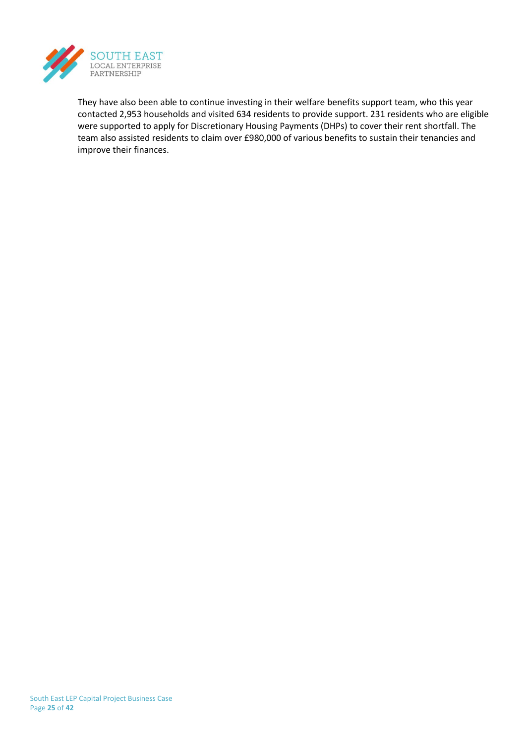

They have also been able to continue investing in their welfare benefits support team, who this year contacted 2,953 households and visited 634 residents to provide support. 231 residents who are eligible were supported to apply for Discretionary Housing Payments (DHPs) to cover their rent shortfall. The team also assisted residents to claim over £980,000 of various benefits to sustain their tenancies and improve their finances.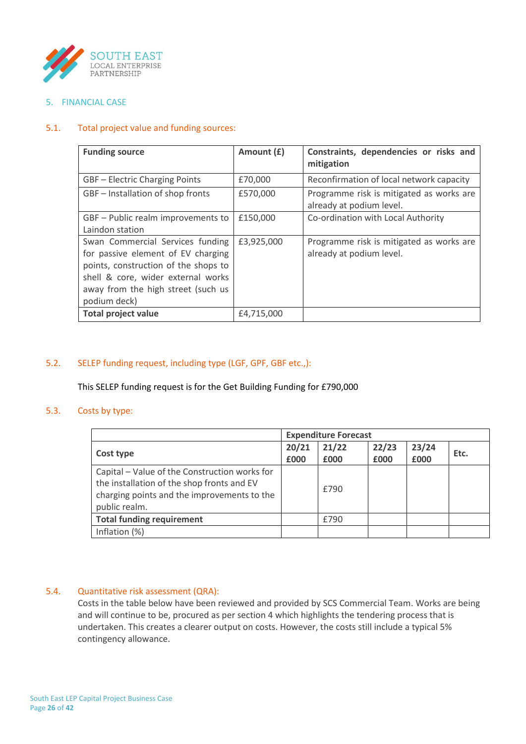

# 5. FINANCIAL CASE

# 5.1. Total project value and funding sources:

| <b>Funding source</b>                                                                                                                                                                                      | Amount (£) | Constraints, dependencies or risks and<br>mitigation                 |
|------------------------------------------------------------------------------------------------------------------------------------------------------------------------------------------------------------|------------|----------------------------------------------------------------------|
| <b>GBF</b> - Electric Charging Points                                                                                                                                                                      | £70,000    | Reconfirmation of local network capacity                             |
| GBF - Installation of shop fronts                                                                                                                                                                          | £570,000   | Programme risk is mitigated as works are<br>already at podium level. |
| GBF - Public realm improvements to<br>Laindon station                                                                                                                                                      | £150,000   | Co-ordination with Local Authority                                   |
| Swan Commercial Services funding<br>for passive element of EV charging<br>points, construction of the shops to<br>shell & core, wider external works<br>away from the high street (such us<br>podium deck) | £3,925,000 | Programme risk is mitigated as works are<br>already at podium level. |
| <b>Total project value</b>                                                                                                                                                                                 | £4,715,000 |                                                                      |

# 5.2. SELEP funding request, including type (LGF, GPF, GBF etc.,):

This SELEP funding request is for the Get Building Funding for £790,000

# 5.3. Costs by type:

|                                                                                                                                                             | <b>Expenditure Forecast</b> |               |               |               |      |
|-------------------------------------------------------------------------------------------------------------------------------------------------------------|-----------------------------|---------------|---------------|---------------|------|
| Cost type                                                                                                                                                   | 20/21<br>£000               | 21/22<br>£000 | 22/23<br>£000 | 23/24<br>£000 | Etc. |
| Capital - Value of the Construction works for<br>the installation of the shop fronts and EV<br>charging points and the improvements to the<br>public realm. |                             | £790          |               |               |      |
| <b>Total funding requirement</b>                                                                                                                            |                             | £790          |               |               |      |
| Inflation (%)                                                                                                                                               |                             |               |               |               |      |

#### 5.4. Quantitative risk assessment (QRA):

Costs in the table below have been reviewed and provided by SCS Commercial Team. Works are being and will continue to be, procured as per section 4 which highlights the tendering process that is undertaken. This creates a clearer output on costs. However, the costs still include a typical 5% contingency allowance.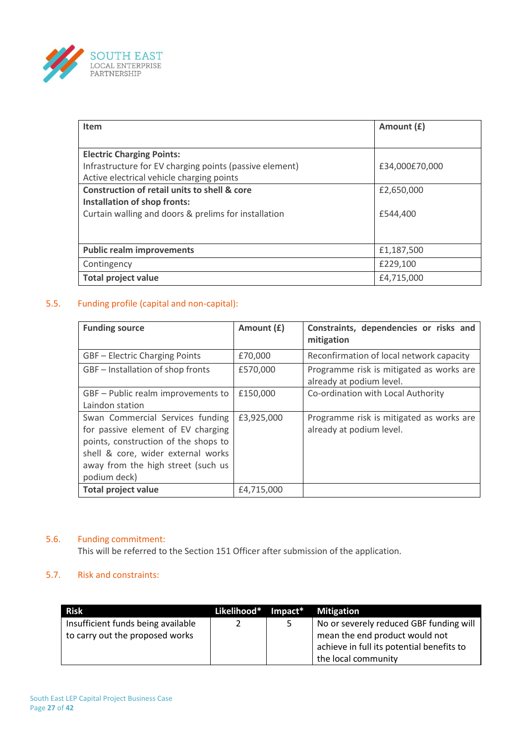

| <b>Item</b>                                             | Amount (£)     |
|---------------------------------------------------------|----------------|
|                                                         |                |
| <b>Electric Charging Points:</b>                        |                |
| Infrastructure for EV charging points (passive element) | £34,000£70,000 |
| Active electrical vehicle charging points               |                |
| <b>Construction of retail units to shell &amp; core</b> | £2,650,000     |
| Installation of shop fronts:                            |                |
| Curtain walling and doors & prelims for installation    | £544.400       |
|                                                         |                |
|                                                         |                |
| <b>Public realm improvements</b>                        | £1,187,500     |
| Contingency                                             | £229,100       |
| <b>Total project value</b>                              | £4,715,000     |

# 5.5. Funding profile (capital and non-capital):

| <b>Funding source</b>                                                                                                                                                                                      | Amount (£) | Constraints, dependencies or risks and<br>mitigation                 |
|------------------------------------------------------------------------------------------------------------------------------------------------------------------------------------------------------------|------------|----------------------------------------------------------------------|
| <b>GBF</b> - Electric Charging Points                                                                                                                                                                      | £70,000    | Reconfirmation of local network capacity                             |
| GBF - Installation of shop fronts                                                                                                                                                                          | £570,000   | Programme risk is mitigated as works are<br>already at podium level. |
| GBF - Public realm improvements to<br>Laindon station                                                                                                                                                      | £150,000   | Co-ordination with Local Authority                                   |
| Swan Commercial Services funding<br>for passive element of EV charging<br>points, construction of the shops to<br>shell & core, wider external works<br>away from the high street (such us<br>podium deck) | £3,925,000 | Programme risk is mitigated as works are<br>already at podium level. |
| <b>Total project value</b>                                                                                                                                                                                 | £4,715,000 |                                                                      |

# 5.6. Funding commitment:

This will be referred to the Section 151 Officer after submission of the application.

# 5.7. Risk and constraints:

| <b>Risk</b>                        | Likelihood* Impact* | <b>Mitigation</b>                         |
|------------------------------------|---------------------|-------------------------------------------|
| Insufficient funds being available |                     | No or severely reduced GBF funding will   |
| to carry out the proposed works    |                     | mean the end product would not            |
|                                    |                     | achieve in full its potential benefits to |
|                                    |                     | the local community                       |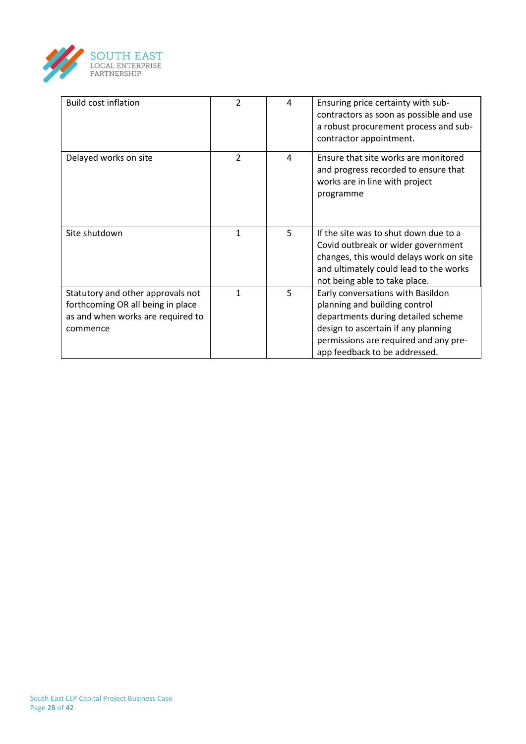

| <b>Build cost inflation</b>                                                                                             | 2              | 4 | Ensuring price certainty with sub-<br>contractors as soon as possible and use<br>a robust procurement process and sub-<br>contractor appointment.                                                                         |
|-------------------------------------------------------------------------------------------------------------------------|----------------|---|---------------------------------------------------------------------------------------------------------------------------------------------------------------------------------------------------------------------------|
| Delayed works on site                                                                                                   | $\overline{2}$ | 4 | Ensure that site works are monitored<br>and progress recorded to ensure that<br>works are in line with project<br>programme                                                                                               |
| Site shutdown                                                                                                           | 1              | 5 | If the site was to shut down due to a<br>Covid outbreak or wider government<br>changes, this would delays work on site<br>and ultimately could lead to the works<br>not being able to take place.                         |
| Statutory and other approvals not<br>forthcoming OR all being in place<br>as and when works are required to<br>commence | 1              | 5 | Early conversations with Basildon<br>planning and building control<br>departments during detailed scheme<br>design to ascertain if any planning<br>permissions are required and any pre-<br>app feedback to be addressed. |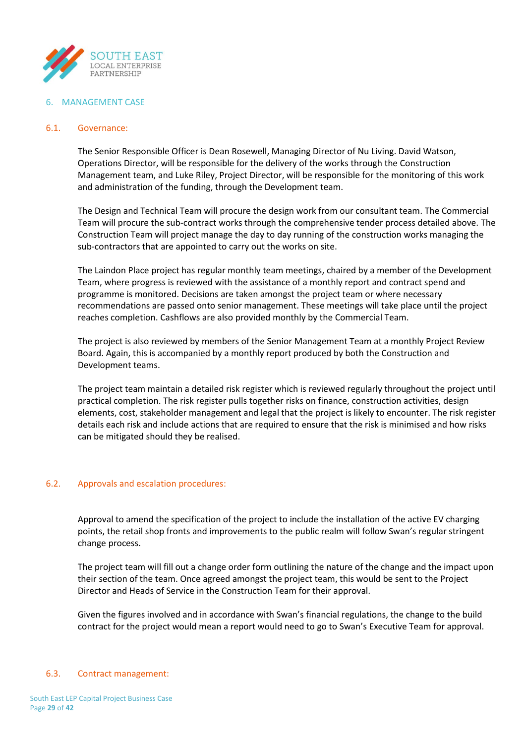

#### 6. MANAGEMENT CASE

#### 6.1. Governance:

The Senior Responsible Officer is Dean Rosewell, Managing Director of Nu Living. David Watson, Operations Director, will be responsible for the delivery of the works through the Construction Management team, and Luke Riley, Project Director, will be responsible for the monitoring of this work and administration of the funding, through the Development team.

The Design and Technical Team will procure the design work from our consultant team. The Commercial Team will procure the sub-contract works through the comprehensive tender process detailed above. The Construction Team will project manage the day to day running of the construction works managing the sub-contractors that are appointed to carry out the works on site.

The Laindon Place project has regular monthly team meetings, chaired by a member of the Development Team, where progress is reviewed with the assistance of a monthly report and contract spend and programme is monitored. Decisions are taken amongst the project team or where necessary recommendations are passed onto senior management. These meetings will take place until the project reaches completion. Cashflows are also provided monthly by the Commercial Team.

The project is also reviewed by members of the Senior Management Team at a monthly Project Review Board. Again, this is accompanied by a monthly report produced by both the Construction and Development teams.

The project team maintain a detailed risk register which is reviewed regularly throughout the project until practical completion. The risk register pulls together risks on finance, construction activities, design elements, cost, stakeholder management and legal that the project is likely to encounter. The risk register details each risk and include actions that are required to ensure that the risk is minimised and how risks can be mitigated should they be realised.

#### 6.2. Approvals and escalation procedures:

Approval to amend the specification of the project to include the installation of the active EV charging points, the retail shop fronts and improvements to the public realm will follow Swan's regular stringent change process.

The project team will fill out a change order form outlining the nature of the change and the impact upon their section of the team. Once agreed amongst the project team, this would be sent to the Project Director and Heads of Service in the Construction Team for their approval.

Given the figures involved and in accordance with Swan's financial regulations, the change to the build contract for the project would mean a report would need to go to Swan's Executive Team for approval.

#### 6.3. Contract management: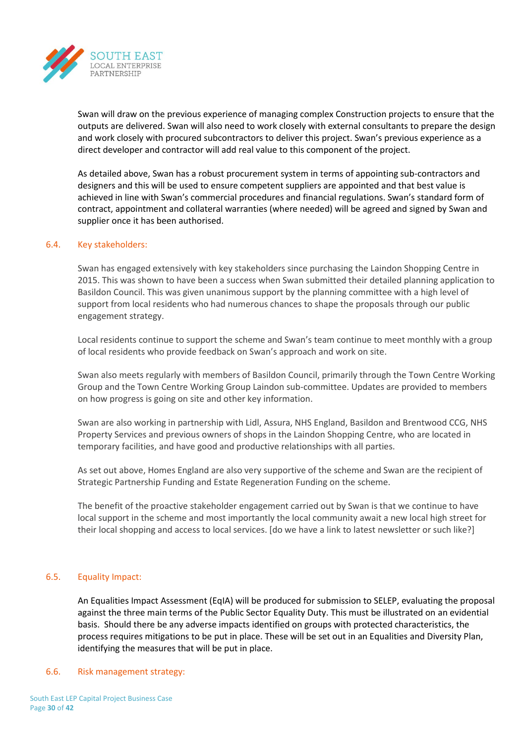

Swan will draw on the previous experience of managing complex Construction projects to ensure that the outputs are delivered. Swan will also need to work closely with external consultants to prepare the design and work closely with procured subcontractors to deliver this project. Swan's previous experience as a direct developer and contractor will add real value to this component of the project.

As detailed above, Swan has a robust procurement system in terms of appointing sub-contractors and designers and this will be used to ensure competent suppliers are appointed and that best value is achieved in line with Swan's commercial procedures and financial regulations. Swan's standard form of contract, appointment and collateral warranties (where needed) will be agreed and signed by Swan and supplier once it has been authorised.

#### 6.4. Key stakeholders:

Swan has engaged extensively with key stakeholders since purchasing the Laindon Shopping Centre in 2015. This was shown to have been a success when Swan submitted their detailed planning application to Basildon Council. This was given unanimous support by the planning committee with a high level of support from local residents who had numerous chances to shape the proposals through our public engagement strategy.

Local residents continue to support the scheme and Swan's team continue to meet monthly with a group of local residents who provide feedback on Swan's approach and work on site.

Swan also meets regularly with members of Basildon Council, primarily through the Town Centre Working Group and the Town Centre Working Group Laindon sub-committee. Updates are provided to members on how progress is going on site and other key information.

Swan are also working in partnership with Lidl, Assura, NHS England, Basildon and Brentwood CCG, NHS Property Services and previous owners of shops in the Laindon Shopping Centre, who are located in temporary facilities, and have good and productive relationships with all parties.

As set out above, Homes England are also very supportive of the scheme and Swan are the recipient of Strategic Partnership Funding and Estate Regeneration Funding on the scheme.

The benefit of the proactive stakeholder engagement carried out by Swan is that we continue to have local support in the scheme and most importantly the local community await a new local high street for their local shopping and access to local services. [do we have a link to latest newsletter or such like?]

#### 6.5. Equality Impact:

An Equalities Impact Assessment (EqIA) will be produced for submission to SELEP, evaluating the proposal against the three main terms of the Public Sector Equality Duty. This must be illustrated on an evidential basis. Should there be any adverse impacts identified on groups with protected characteristics, the process requires mitigations to be put in place. These will be set out in an Equalities and Diversity Plan, identifying the measures that will be put in place.

#### 6.6. Risk management strategy: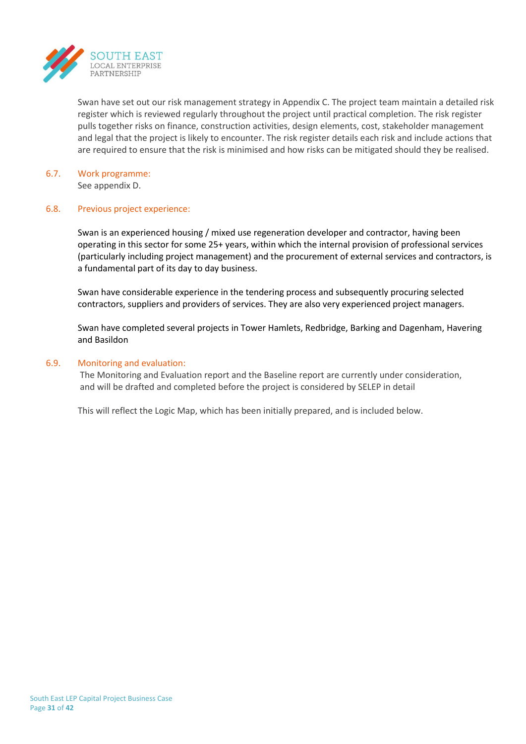

Swan have set out our risk management strategy in Appendix C. The project team maintain a detailed risk register which is reviewed regularly throughout the project until practical completion. The risk register pulls together risks on finance, construction activities, design elements, cost, stakeholder management and legal that the project is likely to encounter. The risk register details each risk and include actions that are required to ensure that the risk is minimised and how risks can be mitigated should they be realised.

# 6.7. Work programme:

See appendix D.

#### 6.8. Previous project experience:

Swan is an experienced housing / mixed use regeneration developer and contractor, having been operating in this sector for some 25+ years, within which the internal provision of professional services (particularly including project management) and the procurement of external services and contractors, is a fundamental part of its day to day business.

Swan have considerable experience in the tendering process and subsequently procuring selected contractors, suppliers and providers of services. They are also very experienced project managers.

Swan have completed several projects in Tower Hamlets, Redbridge, Barking and Dagenham, Havering and Basildon

# 6.9. Monitoring and evaluation:

The Monitoring and Evaluation report and the Baseline report are currently under consideration, and will be drafted and completed before the project is considered by SELEP in detail

This will reflect the Logic Map, which has been initially prepared, and is included below.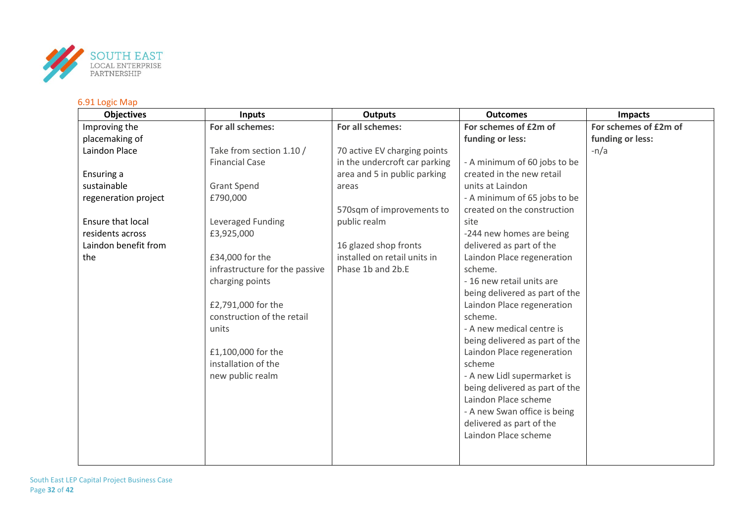

# 6.91 Logic Map

| <b>Objectives</b>    | Inputs                         | <b>Outputs</b>                | <b>Outcomes</b>                | <b>Impacts</b>        |
|----------------------|--------------------------------|-------------------------------|--------------------------------|-----------------------|
| Improving the        | For all schemes:               | For all schemes:              | For schemes of £2m of          | For schemes of £2m of |
| placemaking of       |                                |                               | funding or less:               | funding or less:      |
| Laindon Place        | Take from section 1.10 /       | 70 active EV charging points  |                                | $-n/a$                |
|                      | <b>Financial Case</b>          | in the undercroft car parking | - A minimum of 60 jobs to be   |                       |
| Ensuring a           |                                | area and 5 in public parking  | created in the new retail      |                       |
| sustainable          | <b>Grant Spend</b>             | areas                         | units at Laindon               |                       |
| regeneration project | £790,000                       |                               | - A minimum of 65 jobs to be   |                       |
|                      |                                | 570sqm of improvements to     | created on the construction    |                       |
| Ensure that local    | Leveraged Funding              | public realm                  | site                           |                       |
| residents across     | £3,925,000                     |                               | -244 new homes are being       |                       |
| Laindon benefit from |                                | 16 glazed shop fronts         | delivered as part of the       |                       |
| the                  | £34,000 for the                | installed on retail units in  | Laindon Place regeneration     |                       |
|                      | infrastructure for the passive | Phase 1b and 2b.E             | scheme.                        |                       |
|                      | charging points                |                               | - 16 new retail units are      |                       |
|                      |                                |                               | being delivered as part of the |                       |
|                      | £2,791,000 for the             |                               | Laindon Place regeneration     |                       |
|                      | construction of the retail     |                               | scheme.                        |                       |
|                      | units                          |                               | - A new medical centre is      |                       |
|                      |                                |                               | being delivered as part of the |                       |
|                      | £1,100,000 for the             |                               | Laindon Place regeneration     |                       |
|                      | installation of the            |                               | scheme                         |                       |
|                      | new public realm               |                               | - A new Lidl supermarket is    |                       |
|                      |                                |                               | being delivered as part of the |                       |
|                      |                                |                               | Laindon Place scheme           |                       |
|                      |                                |                               | - A new Swan office is being   |                       |
|                      |                                |                               | delivered as part of the       |                       |
|                      |                                |                               | Laindon Place scheme           |                       |
|                      |                                |                               |                                |                       |
|                      |                                |                               |                                |                       |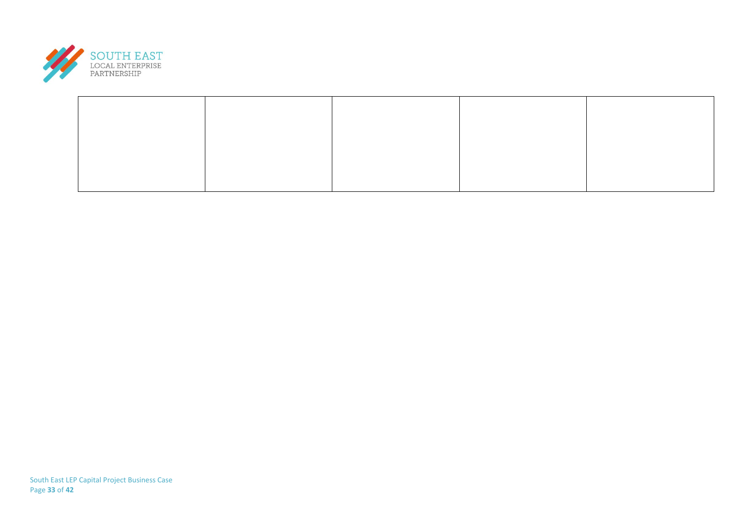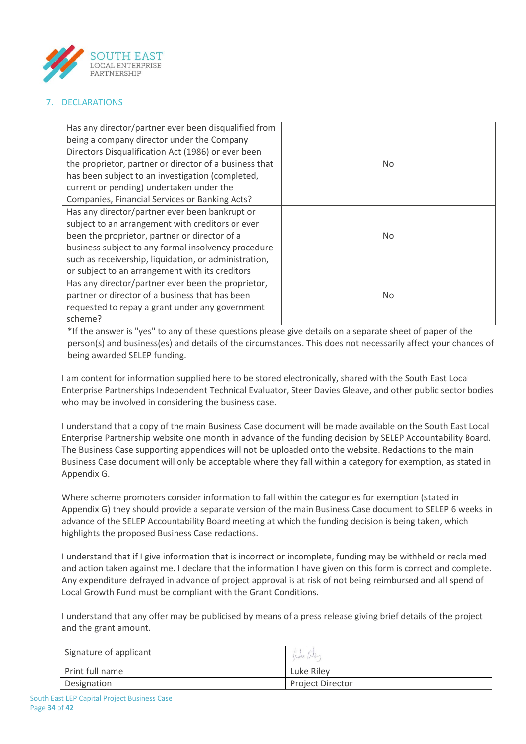

# 7. DECLARATIONS

| Has any director/partner ever been disqualified from   |     |
|--------------------------------------------------------|-----|
| being a company director under the Company             |     |
| Directors Disqualification Act (1986) or ever been     |     |
| the proprietor, partner or director of a business that | No. |
| has been subject to an investigation (completed,       |     |
| current or pending) undertaken under the               |     |
| Companies, Financial Services or Banking Acts?         |     |
| Has any director/partner ever been bankrupt or         |     |
| subject to an arrangement with creditors or ever       |     |
| been the proprietor, partner or director of a          | No. |
| business subject to any formal insolvency procedure    |     |
| such as receivership, liquidation, or administration,  |     |
| or subject to an arrangement with its creditors        |     |
| Has any director/partner ever been the proprietor,     |     |
| partner or director of a business that has been        | No. |
| requested to repay a grant under any government        |     |
| scheme?                                                |     |

\*If the answer is "yes" to any of these questions please give details on a separate sheet of paper of the person(s) and business(es) and details of the circumstances. This does not necessarily affect your chances of being awarded SELEP funding.

I am content for information supplied here to be stored electronically, shared with the South East Local Enterprise Partnerships Independent Technical Evaluator, Steer Davies Gleave, and other public sector bodies who may be involved in considering the business case.

I understand that a copy of the main Business Case document will be made available on the South East Local Enterprise Partnership website one month in advance of the funding decision by SELEP Accountability Board. The Business Case supporting appendices will not be uploaded onto the website. Redactions to the main Business Case document will only be acceptable where they fall within a category for exemption, as stated in Appendix G.

Where scheme promoters consider information to fall within the categories for exemption (stated in Appendix G) they should provide a separate version of the main Business Case document to SELEP 6 weeks in advance of the SELEP Accountability Board meeting at which the funding decision is being taken, which highlights the proposed Business Case redactions.

I understand that if I give information that is incorrect or incomplete, funding may be withheld or reclaimed and action taken against me. I declare that the information I have given on this form is correct and complete. Any expenditure defrayed in advance of project approval is at risk of not being reimbursed and all spend of Local Growth Fund must be compliant with the Grant Conditions.

I understand that any offer may be publicised by means of a press release giving brief details of the project and the grant amount.

| Signature of applicant | Inde Mr                 |
|------------------------|-------------------------|
| Print full name        | Luke Riley              |
| Designation            | <b>Project Director</b> |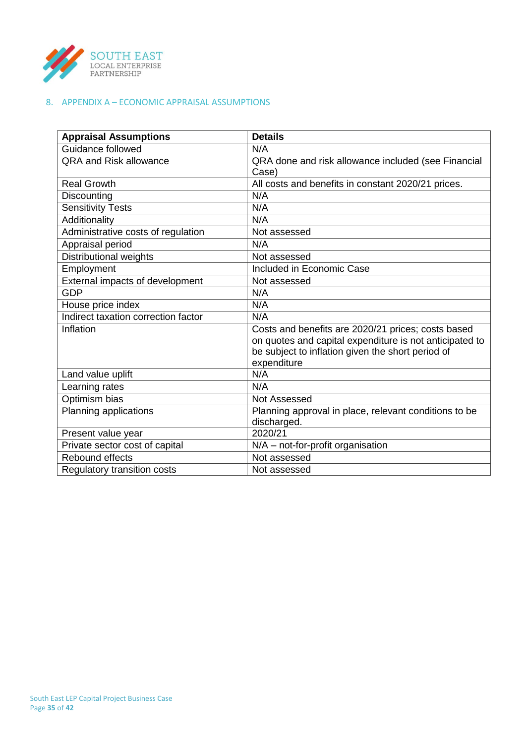

# 8. APPENDIX A – ECONOMIC APPRAISAL ASSUMPTIONS

| <b>Appraisal Assumptions</b>           | <b>Details</b>                                          |
|----------------------------------------|---------------------------------------------------------|
| Guidance followed                      | N/A                                                     |
| <b>QRA and Risk allowance</b>          | QRA done and risk allowance included (see Financial     |
|                                        | Case)                                                   |
| <b>Real Growth</b>                     | All costs and benefits in constant 2020/21 prices.      |
| Discounting                            | N/A                                                     |
| <b>Sensitivity Tests</b>               | N/A                                                     |
| Additionality                          | N/A                                                     |
| Administrative costs of regulation     | Not assessed                                            |
| Appraisal period                       | N/A                                                     |
| Distributional weights                 | Not assessed                                            |
| Employment                             | Included in Economic Case                               |
| <b>External impacts of development</b> | Not assessed                                            |
| <b>GDP</b>                             | N/A                                                     |
| House price index                      | N/A                                                     |
| Indirect taxation correction factor    | N/A                                                     |
| Inflation                              | Costs and benefits are 2020/21 prices; costs based      |
|                                        | on quotes and capital expenditure is not anticipated to |
|                                        | be subject to inflation given the short period of       |
|                                        | expenditure                                             |
| Land value uplift                      | N/A                                                     |
| Learning rates                         | N/A                                                     |
| Optimism bias                          | Not Assessed                                            |
| Planning applications                  | Planning approval in place, relevant conditions to be   |
|                                        | discharged.                                             |
| Present value year                     | 2020/21                                                 |
| Private sector cost of capital         | N/A - not-for-profit organisation                       |
| Rebound effects                        | Not assessed                                            |
| <b>Regulatory transition costs</b>     | Not assessed                                            |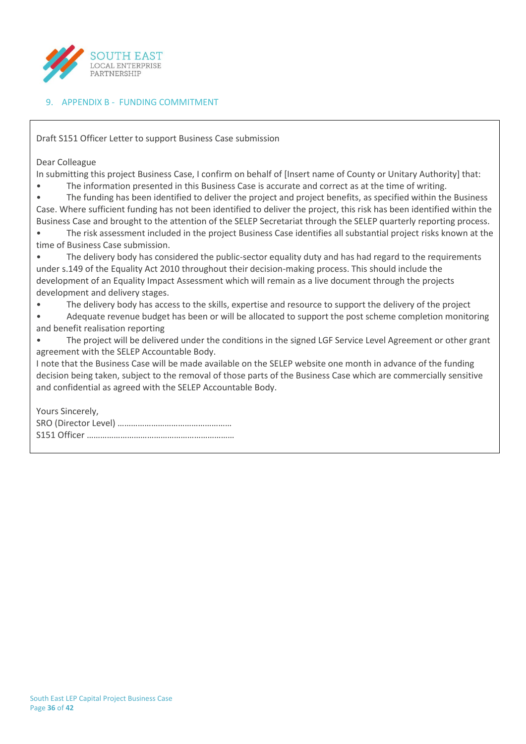

# APPENDIX B - FUNDING COMMITMENT

Draft S151 Officer Letter to support Business Case submission

Dear Colleague

In submitting this project Business Case, I confirm on behalf of [Insert name of County or Unitary Authority] that:

- The information presented in this Business Case is accurate and correct as at the time of writing.
- The funding has been identified to deliver the project and project benefits, as specified within the Business Case. Where sufficient funding has not been identified to deliver the project, this risk has been identified within the Business Case and brought to the attention of the SELEP Secretariat through the SELEP quarterly reporting process.
- The risk assessment included in the project Business Case identifies all substantial project risks known at the time of Business Case submission.
- The delivery body has considered the public-sector equality duty and has had regard to the requirements under s.149 of the Equality Act 2010 throughout their decision-making process. This should include the development of an Equality Impact Assessment which will remain as a live document through the projects development and delivery stages.
- The delivery body has access to the skills, expertise and resource to support the delivery of the project
- Adequate revenue budget has been or will be allocated to support the post scheme completion monitoring and benefit realisation reporting
- The project will be delivered under the conditions in the signed LGF Service Level Agreement or other grant agreement with the SELEP Accountable Body.
- I note that the Business Case will be made available on the SELEP website one month in advance of the funding decision being taken, subject to the removal of those parts of the Business Case which are commercially sensitive and confidential as agreed with the SELEP Accountable Body.

Yours Sincerely, SRO (Director Level) …………………………………………… S151 Officer …………………………………………………………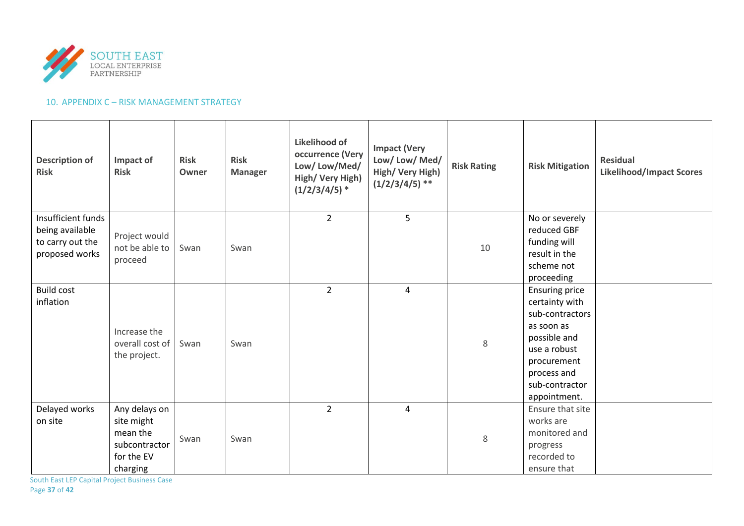

# 10. APPENDIX C – RISK MANAGEMENT STRATEGY

| <b>Description of</b><br><b>Risk</b>                                        | Impact of<br><b>Risk</b>                                                           | <b>Risk</b><br>Owner | <b>Risk</b><br><b>Manager</b> | Likelihood of<br>occurrence (Very<br>Low/Low/Med/<br>High/ Very High)<br>$(1/2/3/4/5)$ * | <b>Impact (Very</b><br>Low/ Low/ Med/<br>High/ Very High)<br>$(1/2/3/4/5)$ ** | <b>Risk Rating</b> | <b>Risk Mitigation</b>                                                                                                                                                   | <b>Residual</b><br><b>Likelihood/Impact Scores</b> |
|-----------------------------------------------------------------------------|------------------------------------------------------------------------------------|----------------------|-------------------------------|------------------------------------------------------------------------------------------|-------------------------------------------------------------------------------|--------------------|--------------------------------------------------------------------------------------------------------------------------------------------------------------------------|----------------------------------------------------|
| Insufficient funds<br>being available<br>to carry out the<br>proposed works | Project would<br>not be able to<br>proceed                                         | Swan                 | Swan                          | $\overline{2}$                                                                           | 5                                                                             | 10                 | No or severely<br>reduced GBF<br>funding will<br>result in the<br>scheme not<br>proceeding                                                                               |                                                    |
| <b>Build cost</b><br>inflation                                              | Increase the<br>overall cost of<br>the project.                                    | Swan                 | Swan                          | $\overline{2}$                                                                           | $\overline{4}$                                                                | 8                  | <b>Ensuring price</b><br>certainty with<br>sub-contractors<br>as soon as<br>possible and<br>use a robust<br>procurement<br>process and<br>sub-contractor<br>appointment. |                                                    |
| Delayed works<br>on site                                                    | Any delays on<br>site might<br>mean the<br>subcontractor<br>for the EV<br>charging | Swan                 | Swan                          | $\overline{2}$                                                                           | $\overline{4}$                                                                | 8                  | Ensure that site<br>works are<br>monitored and<br>progress<br>recorded to<br>ensure that                                                                                 |                                                    |

South East LEP Capital Project Business Case Page **37** of **42**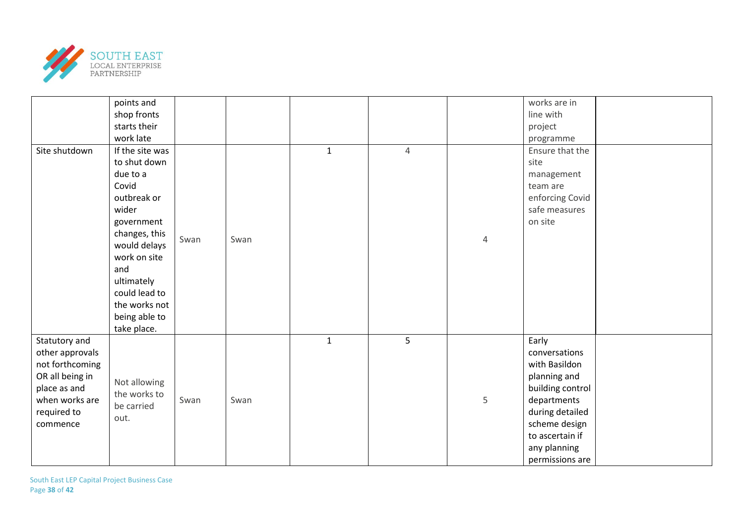

|                                                                                                                                     | points and<br>shop fronts<br>starts their<br>work late                                                                                                                                                                             |      |      |              |                |   | works are in<br>line with<br>project<br>programme                                                                                                                                    |  |
|-------------------------------------------------------------------------------------------------------------------------------------|------------------------------------------------------------------------------------------------------------------------------------------------------------------------------------------------------------------------------------|------|------|--------------|----------------|---|--------------------------------------------------------------------------------------------------------------------------------------------------------------------------------------|--|
| Site shutdown                                                                                                                       | If the site was<br>to shut down<br>due to a<br>Covid<br>outbreak or<br>wider<br>government<br>changes, this<br>would delays<br>work on site<br>and<br>ultimately<br>could lead to<br>the works not<br>being able to<br>take place. | Swan | Swan | $\mathbf{1}$ | $\overline{4}$ | 4 | Ensure that the<br>site<br>management<br>team are<br>enforcing Covid<br>safe measures<br>on site                                                                                     |  |
| Statutory and<br>other approvals<br>not forthcoming<br>OR all being in<br>place as and<br>when works are<br>required to<br>commence | Not allowing<br>the works to<br>be carried<br>out.                                                                                                                                                                                 | Swan | Swan | $\mathbf{1}$ | 5              | 5 | Early<br>conversations<br>with Basildon<br>planning and<br>building control<br>departments<br>during detailed<br>scheme design<br>to ascertain if<br>any planning<br>permissions are |  |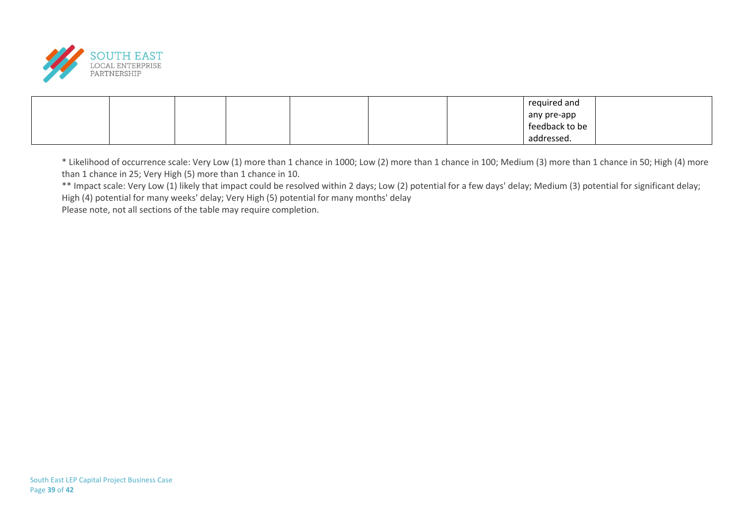

|  |  |  | required and   |  |
|--|--|--|----------------|--|
|  |  |  | any pre-app    |  |
|  |  |  | feedback to be |  |
|  |  |  | addressed.     |  |

\* Likelihood of occurrence scale: Very Low (1) more than 1 chance in 1000; Low (2) more than 1 chance in 100; Medium (3) more than 1 chance in 50; High (4) more than 1 chance in 25; Very High (5) more than 1 chance in 10.

\*\* Impact scale: Very Low (1) likely that impact could be resolved within 2 days; Low (2) potential for a few days' delay; Medium (3) potential for significant delay; High (4) potential for many weeks' delay; Very High (5) potential for many months' delay

Please note, not all sections of the table may require completion.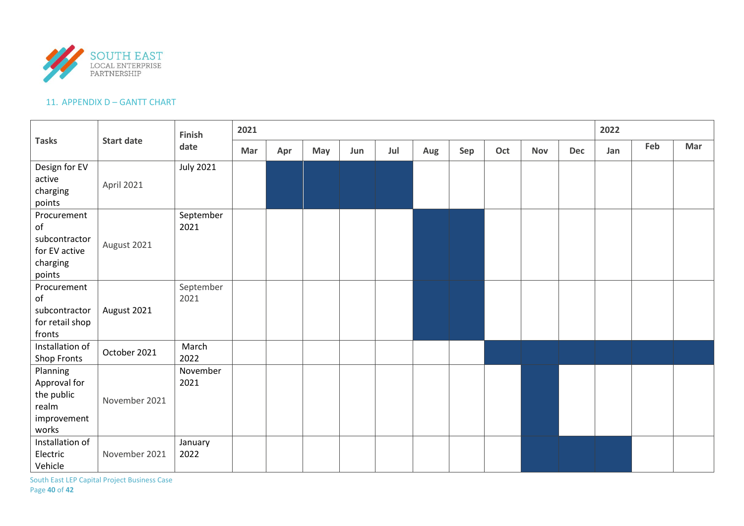

# 11. APPENDIX D – GANTT CHART

| <b>Tasks</b>                                                              |                   | Finish            | 2021 |     |     |     |     |     |     |     |            |            | 2022 |     |     |
|---------------------------------------------------------------------------|-------------------|-------------------|------|-----|-----|-----|-----|-----|-----|-----|------------|------------|------|-----|-----|
|                                                                           | <b>Start date</b> | date              | Mar  | Apr | May | Jun | Jul | Aug | Sep | Oct | <b>Nov</b> | <b>Dec</b> | Jan  | Feb | Mar |
| Design for EV<br>active<br>charging<br>points                             | April 2021        | <b>July 2021</b>  |      |     |     |     |     |     |     |     |            |            |      |     |     |
| Procurement<br>of<br>subcontractor<br>for EV active<br>charging<br>points | August 2021       | September<br>2021 |      |     |     |     |     |     |     |     |            |            |      |     |     |
| Procurement<br>of<br>subcontractor<br>for retail shop<br>fronts           | August 2021       | September<br>2021 |      |     |     |     |     |     |     |     |            |            |      |     |     |
| Installation of<br>Shop Fronts                                            | October 2021      | March<br>2022     |      |     |     |     |     |     |     |     |            |            |      |     |     |
| Planning<br>Approval for<br>the public<br>realm<br>improvement<br>works   | November 2021     | November<br>2021  |      |     |     |     |     |     |     |     |            |            |      |     |     |
| Installation of<br>Electric<br>Vehicle                                    | November 2021     | January<br>2022   |      |     |     |     |     |     |     |     |            |            |      |     |     |

South East LEP Capital Project Business Case Page **40** of **42**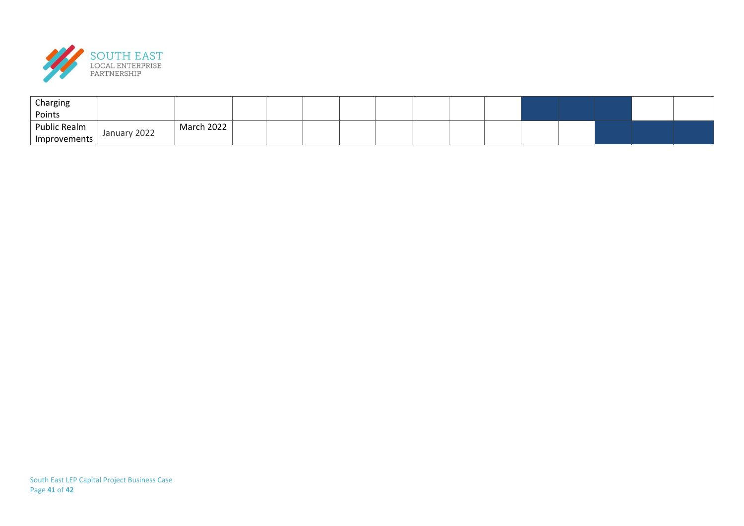

| Charging<br>Points           |              |                   |  |  |  |  |  |  |  |
|------------------------------|--------------|-------------------|--|--|--|--|--|--|--|
|                              |              |                   |  |  |  |  |  |  |  |
| Public Realm<br>Improvements | January 2022 | <b>March 2022</b> |  |  |  |  |  |  |  |
|                              |              |                   |  |  |  |  |  |  |  |